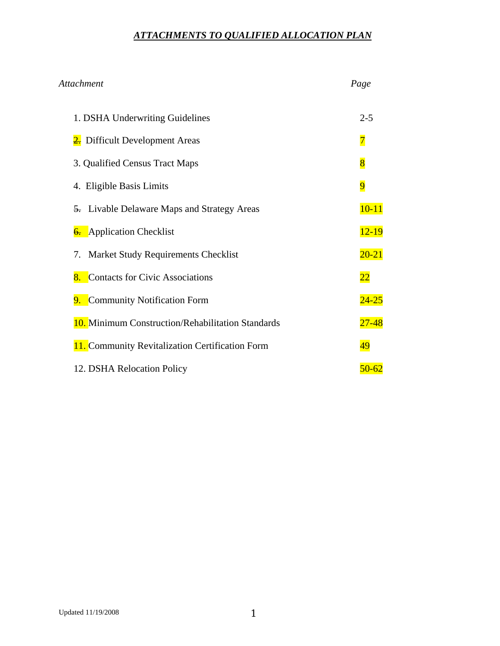# *ATTACHMENTS TO QUALIFIED ALLOCATION PLAN*

# *Attachment Page*

| 1. DSHA Underwriting Guidelines                          | $2 - 5$         |
|----------------------------------------------------------|-----------------|
| 2. Difficult Development Areas                           | $\overline{7}$  |
| 3. Qualified Census Tract Maps                           | $\overline{8}$  |
| 4. Eligible Basis Limits                                 | $\overline{9}$  |
| 5. Livable Delaware Maps and Strategy Areas              | $10 - 11$       |
| 6. Application Checklist                                 | $12 - 19$       |
| 7. Market Study Requirements Checklist                   | $20 - 21$       |
| 8. Contacts for Civic Associations                       | $\overline{22}$ |
| 9. Community Notification Form                           | $24 - 25$       |
| <b>10.</b> Minimum Construction/Rehabilitation Standards | $27 - 48$       |
| <b>11.</b> Community Revitalization Certification Form   | 49              |
| 12. DSHA Relocation Policy                               | 50-62           |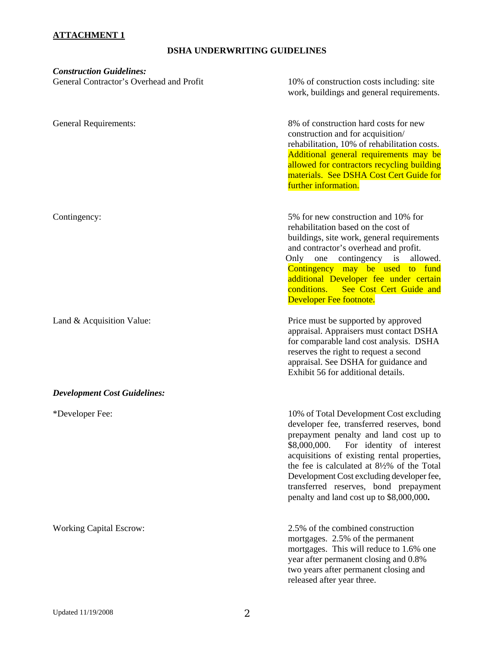#### **ATTACHMENT 1**

## **DSHA UNDERWRITING GUIDELINES**

| <b>Construction Guidelines:</b><br>General Contractor's Overhead and Profit | 10% of construction costs including: site<br>work, buildings and general requirements.                                                                                                                                                                                                                                                                                                                                |
|-----------------------------------------------------------------------------|-----------------------------------------------------------------------------------------------------------------------------------------------------------------------------------------------------------------------------------------------------------------------------------------------------------------------------------------------------------------------------------------------------------------------|
| <b>General Requirements:</b>                                                | 8% of construction hard costs for new<br>construction and for acquisition/<br>rehabilitation, 10% of rehabilitation costs.<br>Additional general requirements may be<br>allowed for contractors recycling building<br>materials. See DSHA Cost Cert Guide for<br>further information.                                                                                                                                 |
| Contingency:                                                                | 5% for new construction and 10% for<br>rehabilitation based on the cost of<br>buildings, site work, general requirements<br>and contractor's overhead and profit.<br>Only one contingency is<br>allowed.<br>Contingency may be used to fund<br>additional Developer fee under certain<br>See Cost Cert Guide and<br>conditions.<br>Developer Fee footnote.                                                            |
| Land & Acquisition Value:                                                   | Price must be supported by approved<br>appraisal. Appraisers must contact DSHA<br>for comparable land cost analysis. DSHA<br>reserves the right to request a second<br>appraisal. See DSHA for guidance and<br>Exhibit 56 for additional details.                                                                                                                                                                     |
| <b>Development Cost Guidelines:</b>                                         |                                                                                                                                                                                                                                                                                                                                                                                                                       |
| *Developer Fee:                                                             | 10% of Total Development Cost excluding<br>developer fee, transferred reserves, bond<br>prepayment penalty and land cost up to<br>\$8,000,000.<br>For identity of interest<br>acquisitions of existing rental properties,<br>the fee is calculated at $8\frac{1}{2}\%$ of the Total<br>Development Cost excluding developer fee,<br>transferred reserves, bond prepayment<br>penalty and land cost up to \$8,000,000. |
| <b>Working Capital Escrow:</b>                                              | 2.5% of the combined construction<br>mortgages. 2.5% of the permanent<br>mortgages. This will reduce to 1.6% one<br>year after permanent closing and 0.8%<br>two years after permanent closing and<br>released after year three.                                                                                                                                                                                      |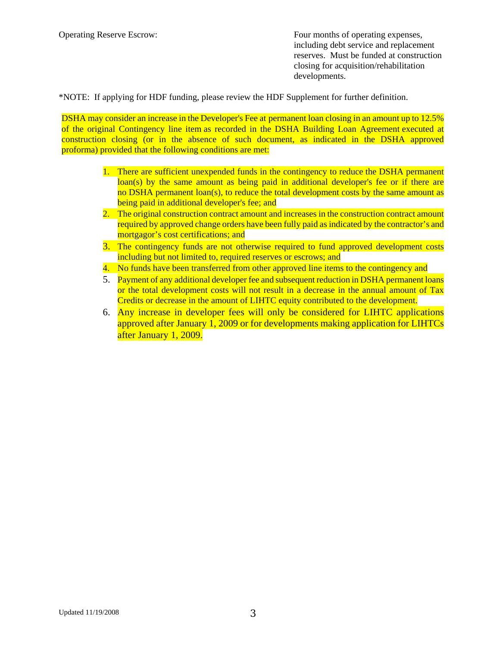Operating Reserve Escrow: Four months of operating expenses, including debt service and replacement reserves. Must be funded at construction closing for acquisition/rehabilitation developments.

\*NOTE: If applying for HDF funding, please review the HDF Supplement for further definition.

DSHA may consider an increase in the Developer's Fee at permanent loan closing in an amount up to 12.5% of the original Contingency line item as recorded in the DSHA Building Loan Agreement executed at construction closing (or in the absence of such document, as indicated in the DSHA approved proforma) provided that the following conditions are met:

- 1. There are sufficient unexpended funds in the contingency to reduce the DSHA permanent loan(s) by the same amount as being paid in additional developer's fee or if there are no DSHA permanent loan(s), to reduce the total development costs by the same amount as being paid in additional developer's fee; and
- 2. The original construction contract amount and increases in the construction contract amount required by approved change orders have been fully paid as indicated by the contractor's and mortgagor's cost certifications; and
- 3. The contingency funds are not otherwise required to fund approved development costs including but not limited to, required reserves or escrows; and
- 4. No funds have been transferred from other approved line items to the contingency and
- 5. Payment of any additional developer fee and subsequent reduction in DSHA permanent loans or the total development costs will not result in a decrease in the annual amount of Tax Credits or decrease in the amount of LIHTC equity contributed to the development.
- 6. Any increase in developer fees will only be considered for LIHTC applications approved after January 1, 2009 or for developments making application for LIHTCs after January 1, 2009.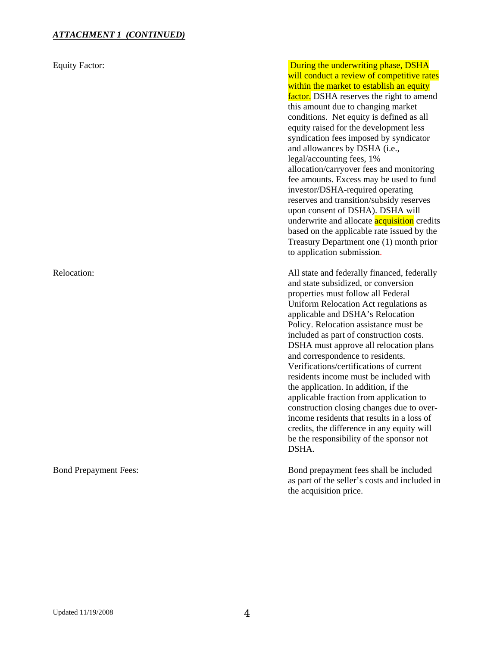#### *ATTACHMENT 1 (CONTINUED)*

Equity Factor: **During the underwriting phase, DSHA** will conduct a review of competitive rates within the market to establish an equity factor. DSHA reserves the right to amend this amount due to changing market conditions. Net equity is defined as all equity raised for the development less syndication fees imposed by syndicator and allowances by DSHA (i.e., legal/accounting fees, 1% allocation/carryover fees and monitoring fee amounts. Excess may be used to fund investor/DSHA-required operating reserves and transition/subsidy reserves upon consent of DSHA). DSHA will underwrite and allocate **acquisition** credits based on the applicable rate issued by the Treasury Department one (1) month prior to application submission.

Relocation:  $\Box$  All state and federally financed, federally and state subsidized, or conversion properties must follow all Federal Uniform Relocation Act regulations as applicable and DSHA's Relocation Policy. Relocation assistance must be included as part of construction costs. DSHA must approve all relocation plans and correspondence to residents. Verifications/certifications of current residents income must be included with the application. In addition, if the applicable fraction from application to construction closing changes due to overincome residents that results in a loss of credits, the difference in any equity will be the responsibility of the sponsor not DSHA.

Bond Prepayment Fees: Bond prepayment fees shall be included as part of the seller's costs and included in the acquisition price.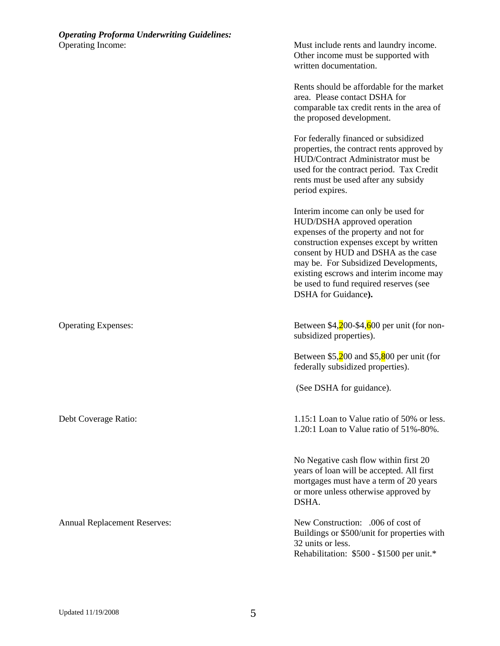Other income must be supported with written documentation.

Rents should be affordable for the market area. Please contact DSHA for comparable tax credit rents in the area of the proposed development.

For federally financed or subsidized properties, the contract rents approved by HUD/Contract Administrator must be used for the contract period. Tax Credit rents must be used after any subsidy period expires.

Interim income can only be used for HUD/DSHA approved operation expenses of the property and not for construction expenses except by written consent by HUD and DSHA as the case may be. For Subsidized Developments, existing escrows and interim income may be used to fund required reserves (see DSHA for Guidance**).** 

Operating Expenses: Between \$4,200-\$4,600 per unit (for nonsubsidized properties).

> Between  $$5,200$  and  $$5,800$  per unit (for federally subsidized properties).

(See DSHA for guidance).

Debt Coverage Ratio: 1.15:1 Loan to Value ratio of 50% or less. 1.20:1 Loan to Value ratio of 51%-80%.

> No Negative cash flow within first 20 years of loan will be accepted. All first mortgages must have a term of 20 years or more unless otherwise approved by DSHA.

Annual Replacement Reserves: New Construction: .006 of cost of Buildings or \$500/unit for properties with 32 units or less. Rehabilitation: \$500 - \$1500 per unit.\*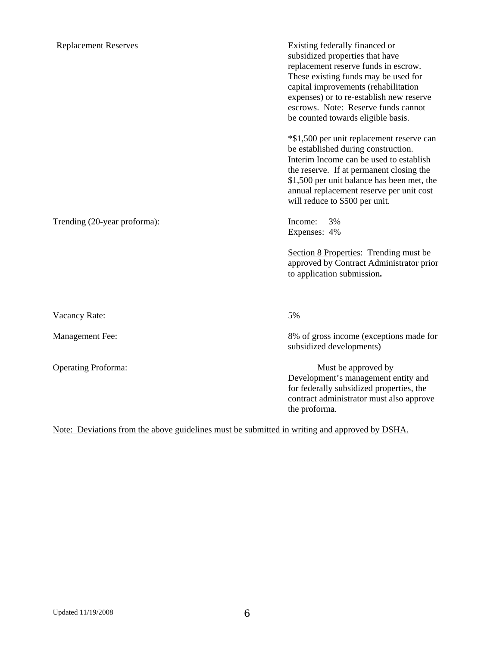Trending (20-year proforma): Income: 3%

Replacement Reserves **Existing federally financed or**  subsidized properties that have replacement reserve funds in escrow. These existing funds may be used for capital improvements (rehabilitation expenses) or to re-establish new reserve escrows. Note: Reserve funds cannot be counted towards eligible basis.

> \*\$1,500 per unit replacement reserve can be established during construction. Interim Income can be used to establish the reserve. If at permanent closing the \$1,500 per unit balance has been met, the annual replacement reserve per unit cost will reduce to \$500 per unit.

Expenses: 4%

Section 8 Properties: Trending must be approved by Contract Administrator prior to application submission**.** 

Vacancy Rate: 5%

Management Fee: 8% of gross income (exceptions made for subsidized developments)

Operating Proforma: Must be approved by Must be approved by Must be approved by Development's management entity and for federally subsidized properties, the contract administrator must also approve the proforma.

Note: Deviations from the above guidelines must be submitted in writing and approved by DSHA.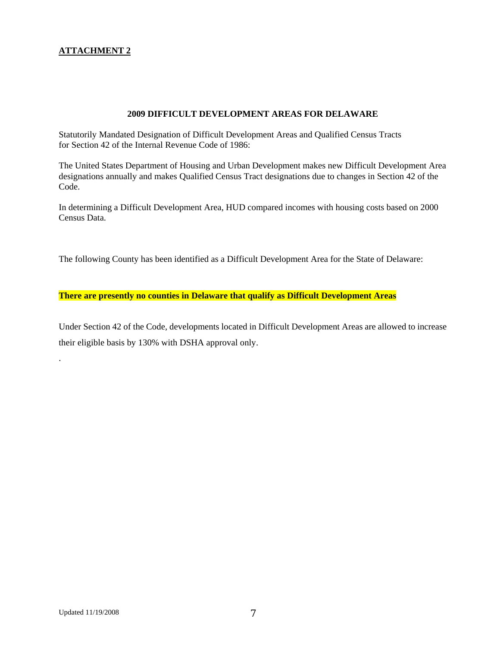### **ATTACHMENT 2**

#### **2009 DIFFICULT DEVELOPMENT AREAS FOR DELAWARE**

Statutorily Mandated Designation of Difficult Development Areas and Qualified Census Tracts for Section 42 of the Internal Revenue Code of 1986:

The United States Department of Housing and Urban Development makes new Difficult Development Area designations annually and makes Qualified Census Tract designations due to changes in Section 42 of the Code.

In determining a Difficult Development Area, HUD compared incomes with housing costs based on 2000 Census Data.

The following County has been identified as a Difficult Development Area for the State of Delaware:

**There are presently no counties in Delaware that qualify as Difficult Development Areas** 

Under Section 42 of the Code, developments located in Difficult Development Areas are allowed to increase their eligible basis by 130% with DSHA approval only.

.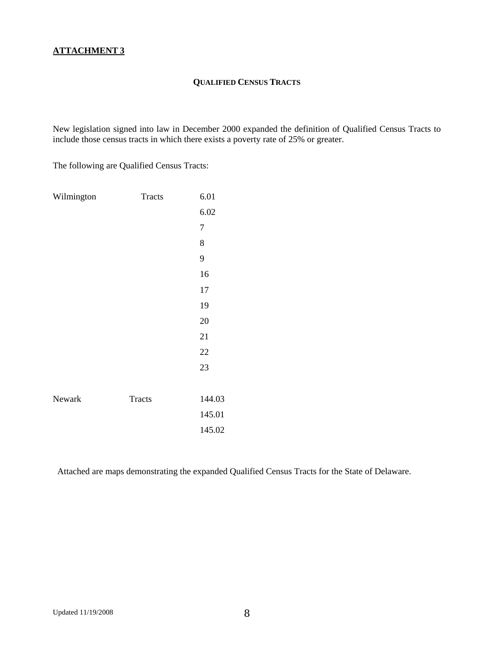#### **QUALIFIED CENSUS TRACTS**

New legislation signed into law in December 2000 expanded the definition of Qualified Census Tracts to include those census tracts in which there exists a poverty rate of 25% or greater.

The following are Qualified Census Tracts:

| Wilmington | Tracts        | 6.01           |
|------------|---------------|----------------|
|            |               | 6.02           |
|            |               | $\overline{7}$ |
|            |               | 8              |
|            |               | 9              |
|            |               | 16             |
|            |               | 17             |
|            |               | 19             |
|            |               | 20             |
|            |               | 21             |
|            |               | 22             |
|            |               | 23             |
|            |               |                |
| Newark     | <b>Tracts</b> | 144.03         |
|            |               | 145.01         |
|            |               | 145.02         |

Attached are maps demonstrating the expanded Qualified Census Tracts for the State of Delaware.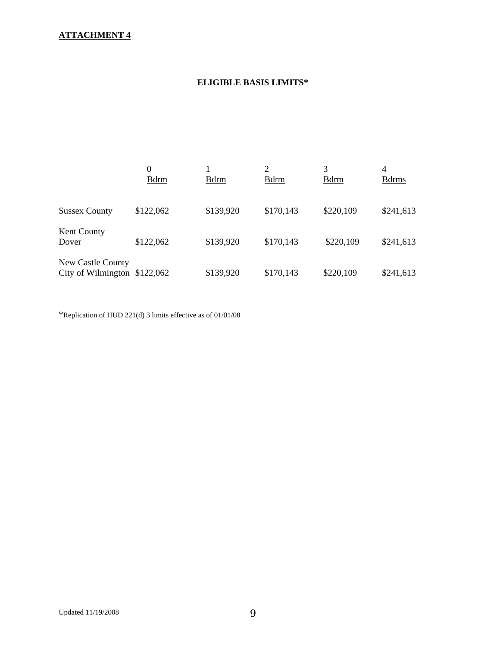## **ATTACHMENT 4**

## **ELIGIBLE BASIS LIMITS\***

|                                                    | $\theta$<br><b>B</b> drm | <b>B</b> drm | $\mathfrak{D}$<br><b>B</b> drm | 3<br><b>B</b> drm | $\overline{4}$<br><b>B</b> drms |
|----------------------------------------------------|--------------------------|--------------|--------------------------------|-------------------|---------------------------------|
| <b>Sussex County</b>                               | \$122,062                | \$139,920    | \$170,143                      | \$220,109         | \$241,613                       |
| <b>Kent County</b><br>Dover                        | \$122,062                | \$139,920    | \$170,143                      | \$220,109         | \$241,613                       |
| New Castle County<br>City of Wilmington $$122,062$ |                          | \$139,920    | \$170,143                      | \$220,109         | \$241,613                       |

\*Replication of HUD 221(d) 3 limits effective as of 01/01/08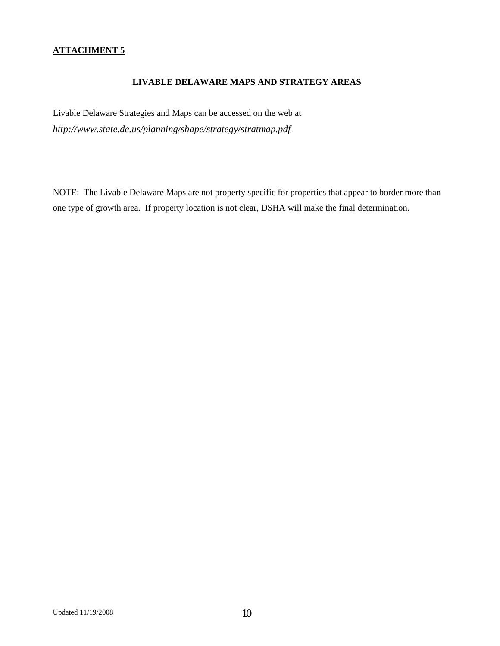## **ATTACHMENT 5**

#### **LIVABLE DELAWARE MAPS AND STRATEGY AREAS**

Livable Delaware Strategies and Maps can be accessed on the web at *http://www.state.de.us/planning/shape/strategy/stratmap.pdf*

NOTE: The Livable Delaware Maps are not property specific for properties that appear to border more than one type of growth area. If property location is not clear, DSHA will make the final determination.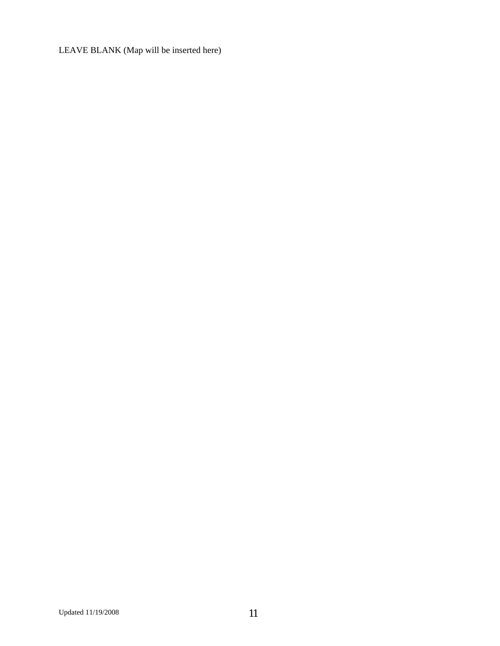LEAVE BLANK (Map will be inserted here)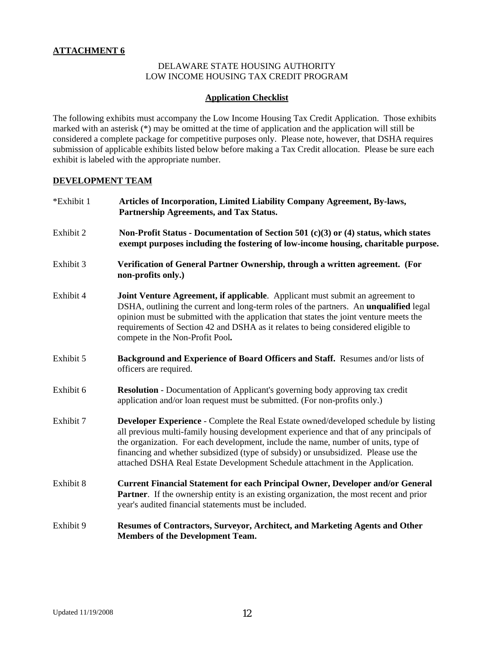#### DELAWARE STATE HOUSING AUTHORITY LOW INCOME HOUSING TAX CREDIT PROGRAM

#### **Application Checklist**

The following exhibits must accompany the Low Income Housing Tax Credit Application. Those exhibits marked with an asterisk (\*) may be omitted at the time of application and the application will still be considered a complete package for competitive purposes only. Please note, however, that DSHA requires submission of applicable exhibits listed below before making a Tax Credit allocation. Please be sure each exhibit is labeled with the appropriate number.

#### **DEVELOPMENT TEAM**

| *Exhibit 1 | Articles of Incorporation, Limited Liability Company Agreement, By-laws,<br>Partnership Agreements, and Tax Status.                                                                                                                                                                                                                                                                                                                               |
|------------|---------------------------------------------------------------------------------------------------------------------------------------------------------------------------------------------------------------------------------------------------------------------------------------------------------------------------------------------------------------------------------------------------------------------------------------------------|
| Exhibit 2  | Non-Profit Status - Documentation of Section 501 (c)(3) or (4) status, which states<br>exempt purposes including the fostering of low-income housing, charitable purpose.                                                                                                                                                                                                                                                                         |
| Exhibit 3  | Verification of General Partner Ownership, through a written agreement. (For<br>non-profits only.)                                                                                                                                                                                                                                                                                                                                                |
| Exhibit 4  | Joint Venture Agreement, if applicable. Applicant must submit an agreement to<br>DSHA, outlining the current and long-term roles of the partners. An <b>unqualified</b> legal<br>opinion must be submitted with the application that states the joint venture meets the<br>requirements of Section 42 and DSHA as it relates to being considered eligible to<br>compete in the Non-Profit Pool.                                                   |
| Exhibit 5  | Background and Experience of Board Officers and Staff. Resumes and/or lists of<br>officers are required.                                                                                                                                                                                                                                                                                                                                          |
| Exhibit 6  | <b>Resolution</b> - Documentation of Applicant's governing body approving tax credit<br>application and/or loan request must be submitted. (For non-profits only.)                                                                                                                                                                                                                                                                                |
| Exhibit 7  | <b>Developer Experience - Complete the Real Estate owned/developed schedule by listing</b><br>all previous multi-family housing development experience and that of any principals of<br>the organization. For each development, include the name, number of units, type of<br>financing and whether subsidized (type of subsidy) or unsubsidized. Please use the<br>attached DSHA Real Estate Development Schedule attachment in the Application. |
| Exhibit 8  | <b>Current Financial Statement for each Principal Owner, Developer and/or General</b><br><b>Partner.</b> If the ownership entity is an existing organization, the most recent and prior<br>year's audited financial statements must be included.                                                                                                                                                                                                  |
| Exhibit 9  | Resumes of Contractors, Surveyor, Architect, and Marketing Agents and Other<br><b>Members of the Development Team.</b>                                                                                                                                                                                                                                                                                                                            |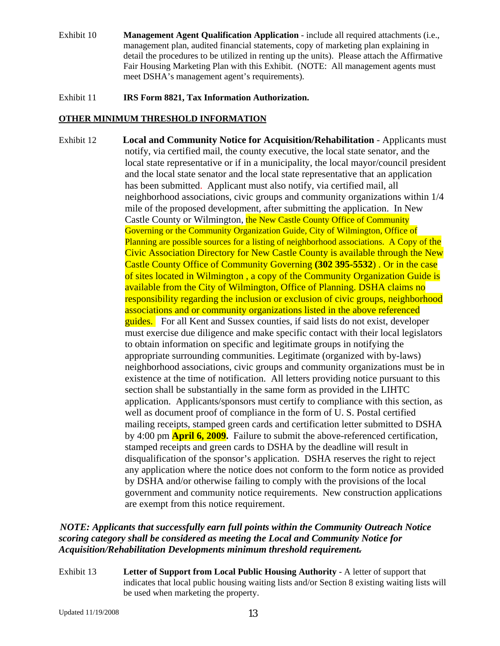Exhibit 10 **Management Agent Qualification Application** - include all required attachments (i.e., management plan, audited financial statements, copy of marketing plan explaining in detail the procedures to be utilized in renting up the units). Please attach the Affirmative Fair Housing Marketing Plan with this Exhibit. (NOTE: All management agents must meet DSHA's management agent's requirements).

Exhibit 11 **IRS Form 8821, Tax Information Authorization.**

#### **OTHER MINIMUM THRESHOLD INFORMATION**

Exhibit 12 **Local and Community Notice for Acquisition/Rehabilitation** - Applicants must notify, via certified mail, the county executive, the local state senator, and the local state representative or if in a municipality, the local mayor/council president and the local state senator and the local state representative that an application has been submitted. Applicant must also notify, via certified mail, all neighborhood associations, civic groups and community organizations within 1/4 mile of the proposed development, after submitting the application. In New Castle County or Wilmington, the New Castle County Office of Community Governing or the Community Organization Guide, City of Wilmington, Office of Planning are possible sources for a listing of neighborhood associations. A Copy of the Civic Association Directory for New Castle County is available through the New Castle County Office of Community Governing **(302 395-5532**) . Or in the case of sites located in Wilmington , a copy of the Community Organization Guide is available from the City of Wilmington, Office of Planning. DSHA claims no responsibility regarding the inclusion or exclusion of civic groups, neighborhood associations and or community organizations listed in the above referenced guides. For all Kent and Sussex counties, if said lists do not exist, developer must exercise due diligence and make specific contact with their local legislators to obtain information on specific and legitimate groups in notifying the appropriate surrounding communities. Legitimate (organized with by-laws) neighborhood associations, civic groups and community organizations must be in existence at the time of notification. All letters providing notice pursuant to this section shall be substantially in the same form as provided in the LIHTC application. Applicants/sponsors must certify to compliance with this section, as well as document proof of compliance in the form of U. S. Postal certified mailing receipts, stamped green cards and certification letter submitted to DSHA by 4:00 pm **April 6, 2009.** Failure to submit the above-referenced certification, stamped receipts and green cards to DSHA by the deadline will result in disqualification of the sponsor's application. DSHA reserves the right to reject any application where the notice does not conform to the form notice as provided by DSHA and/or otherwise failing to comply with the provisions of the local government and community notice requirements. New construction applications are exempt from this notice requirement.

## *NOTE: Applicants that successfully earn full points within the Community Outreach Notice scoring category shall be considered as meeting the Local and Community Notice for Acquisition/Rehabilitation Developments minimum threshold requirement.*

Exhibit 13 **Letter of Support from Local Public Housing Authority** - A letter of support that indicates that local public housing waiting lists and/or Section 8 existing waiting lists will be used when marketing the property.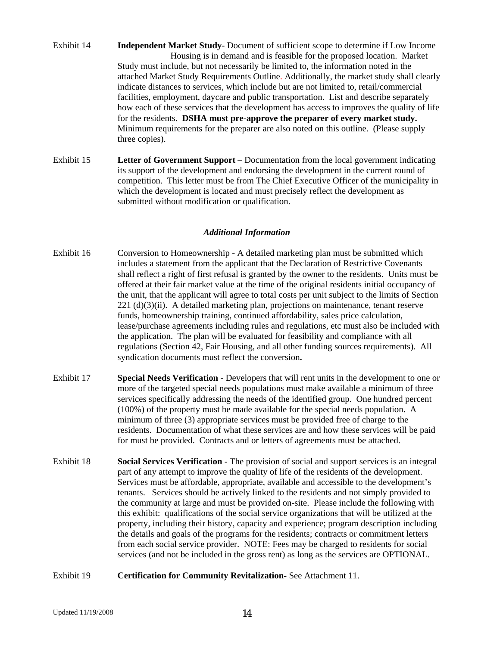- Exhibit 14 **Independent Market Study** Document of sufficient scope to determine if Low Income Housing is in demand and is feasible for the proposed location. Market Study must include, but not necessarily be limited to, the information noted in the attached Market Study Requirements Outline. Additionally, the market study shall clearly indicate distances to services, which include but are not limited to, retail/commercial facilities, employment, daycare and public transportation. List and describe separately how each of these services that the development has access to improves the quality of life for the residents. **DSHA must pre-approve the preparer of every market study.** Minimum requirements for the preparer are also noted on this outline. (Please supply three copies).
- Exhibit 15 **Letter of Government Support** Documentation from the local government indicating its support of the development and endorsing the development in the current round of competition. This letter must be from The Chief Executive Officer of the municipality in which the development is located and must precisely reflect the development as submitted without modification or qualification.

#### *Additional Information*

- Exhibit 16Conversion to HomeownershipA detailed marketing plan must be submitted which includes a statement from the applicant that the Declaration of Restrictive Covenants shall reflect a right of first refusal is granted by the owner to the residents. Units must be offered at their fair market value at the time of the original residents initial occupancy of the unit, that the applicant will agree to total costs per unit subject to the limits of Section 221 (d)(3)(ii). A detailed marketing plan, projections on maintenance, tenant reserve funds, homeownership training, continued affordability, sales price calculation, lease/purchase agreements including rules and regulations, etc must also be included with the application. The plan will be evaluated for feasibility and compliance with all regulations (Section 42, Fair Housing, and all other funding sources requirements). All syndication documents must reflect the conversion**.**
- Exhibit 17 **Special Needs Verification** Developers that will rent units in the development to one or more of the targeted special needs populations must make available a minimum of three services specifically addressing the needs of the identified group. One hundred percent (100%) of the property must be made available for the special needs population. A minimum of three (3) appropriate services must be provided free of charge to the residents. Documentation of what these services are and how these services will be paid for must be provided. Contracts and or letters of agreements must be attached.
- Exhibit 18 **Social Services Verification** The provision of social and support services is an integral part of any attempt to improve the quality of life of the residents of the development. Services must be affordable, appropriate, available and accessible to the development's tenants. Services should be actively linked to the residents and not simply provided to the community at large and must be provided on-site. Please include the following with this exhibit: qualifications of the social service organizations that will be utilized at the property, including their history, capacity and experience; program description including the details and goals of the programs for the residents; contracts or commitment letters from each social service provider. NOTE: Fees may be charged to residents for social services (and not be included in the gross rent) as long as the services are OPTIONAL.
- Exhibit 19 **Certification for Community Revitalization-** See Attachment 11.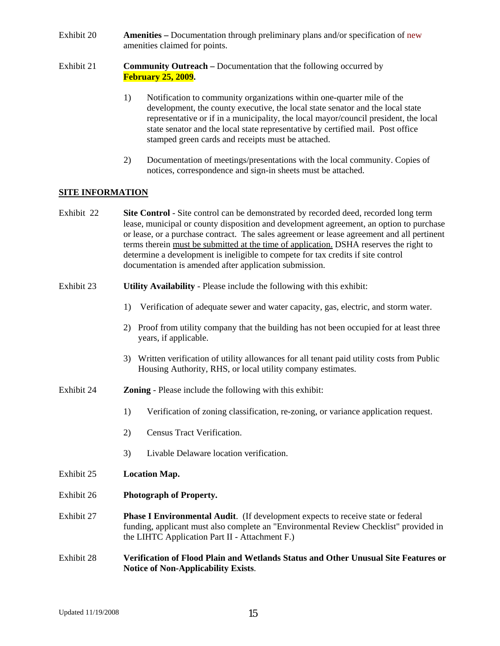- Exhibit 20 **Amenities** Documentation through preliminary plans and/or specification of new amenities claimed for points.
- Exhibit 21 **Community Outreach** Documentation that the following occurred by **February 25, 2009.**
	- 1) Notification to community organizations within one-quarter mile of the development, the county executive, the local state senator and the local state representative or if in a municipality, the local mayor/council president, the local state senator and the local state representative by certified mail. Post office stamped green cards and receipts must be attached.
	- 2) Documentation of meetings/presentations with the local community. Copies of notices, correspondence and sign-in sheets must be attached.

#### **SITE INFORMATION**

| Exhibit 22 | <b>Site Control</b> - Site control can be demonstrated by recorded deed, recorded long term |
|------------|---------------------------------------------------------------------------------------------|
|            | lease, municipal or county disposition and development agreement, an option to purchase     |
|            | or lease, or a purchase contract. The sales agreement or lease agreement and all pertinent  |
|            | terms therein must be submitted at the time of application. DSHA reserves the right to      |
|            | determine a development is ineligible to compete for tax credits if site control            |
|            | documentation is amended after application submission.                                      |

#### Exhibit 23 **Utility Availability** - Please include the following with this exhibit:

- 1) Verification of adequate sewer and water capacity, gas, electric, and storm water.
- 2) Proof from utility company that the building has not been occupied for at least three years, if applicable.
- 3) Written verification of utility allowances for all tenant paid utility costs from Public Housing Authority, RHS, or local utility company estimates.
- Exhibit 24 **Zoning** Please include the following with this exhibit:
	- 1) Verification of zoning classification, re-zoning, or variance application request.
	- 2) Census Tract Verification.
	- 3) Livable Delaware location verification.
- Exhibit 25 **Location Map.**
- Exhibit 26 **Photograph of Property.**
- Exhibit 27 **Phase I Environmental Audit**. (If development expects to receive state or federal funding, applicant must also complete an "Environmental Review Checklist" provided in the LIHTC Application Part II - Attachment F.)
- Exhibit 28 **Verification of Flood Plain and Wetlands Status and Other Unusual Site Features or Notice of Non-Applicability Exists**.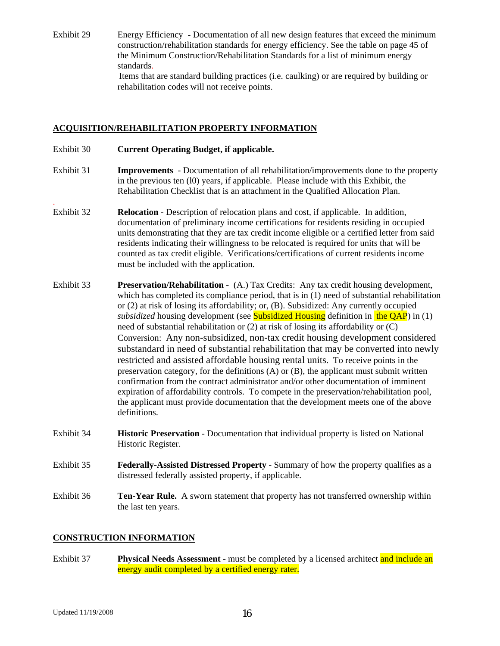Exhibit 29 Energy Efficiency - Documentation of all new design features that exceed the minimum construction/rehabilitation standards for energy efficiency. See the table on page 45 of the Minimum Construction/Rehabilitation Standards for a list of minimum energy standards. Items that are standard building practices (i.e. caulking) or are required by building or rehabilitation codes will not receive points.

#### **ACQUISITION/REHABILITATION PROPERTY INFORMATION**

- Exhibit 30 **Current Operating Budget, if applicable.**
- Exhibit 31 **Improvements** Documentation of all rehabilitation/improvements done to the property in the previous ten (l0) years, if applicable. Please include with this Exhibit, the Rehabilitation Checklist that is an attachment in the Qualified Allocation Plan.
- Exhibit 32 **Relocation** Description of relocation plans and cost, if applicable. In addition, documentation of preliminary income certifications for residents residing in occupied units demonstrating that they are tax credit income eligible or a certified letter from said residents indicating their willingness to be relocated is required for units that will be counted as tax credit eligible. Verifications/certifications of current residents income must be included with the application.
- Exhibit 33 **Preservation/Rehabilitation**  (A.) Tax Credits: Any tax credit housing development, which has completed its compliance period, that is in (1) need of substantial rehabilitation or (2) at risk of losing its affordability; or, (B). Subsidized: Any currently occupied *subsidized* housing development (see **Subsidized Housing** definition in the QAP) in (1) need of substantial rehabilitation or (2) at risk of losing its affordability or (C) Conversion: Any non-subsidized, non-tax credit housing development considered substandard in need of substantial rehabilitation that may be converted into newly restricted and assisted affordable housing rental units. To receive points in the preservation category, for the definitions  $(A)$  or  $(B)$ , the applicant must submit written confirmation from the contract administrator and/or other documentation of imminent expiration of affordability controls. To compete in the preservation/rehabilitation pool, the applicant must provide documentation that the development meets one of the above definitions.
- Exhibit 34 **Historic Preservation**  Documentation that individual property is listed on National Historic Register.
- Exhibit 35 **Federally-Assisted Distressed Property** Summary of how the property qualifies as a distressed federally assisted property, if applicable.
- Exhibit 36 **Ten-Year Rule.** A sworn statement that property has not transferred ownership within the last ten years.

## **CONSTRUCTION INFORMATION**

Exhibit 37 **Physical Needs Assessment** - must be completed by a licensed architect and include an energy audit completed by a certified energy rater.

.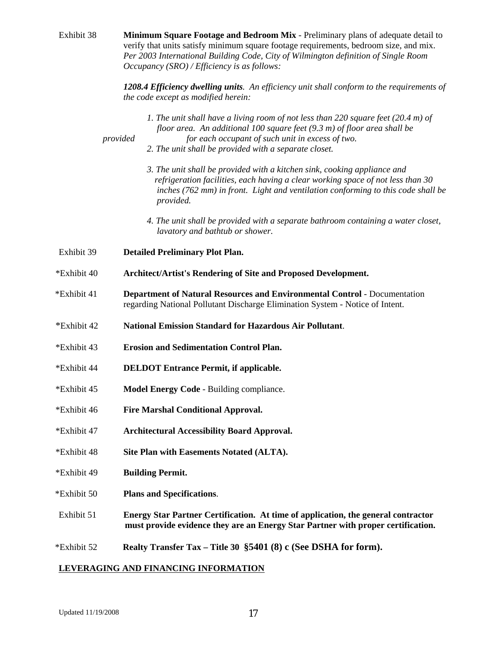| Exhibit 38  | Minimum Square Footage and Bedroom Mix - Preliminary plans of adequate detail to<br>verify that units satisfy minimum square footage requirements, bedroom size, and mix.<br>Per 2003 International Building Code, City of Wilmington definition of Single Room<br><i>Occupancy (SRO) / Efficiency is as follows:</i> |
|-------------|-----------------------------------------------------------------------------------------------------------------------------------------------------------------------------------------------------------------------------------------------------------------------------------------------------------------------|
|             | 1208.4 Efficiency dwelling units. An efficiency unit shall conform to the requirements of<br>the code except as modified herein:                                                                                                                                                                                      |
|             | 1. The unit shall have a living room of not less than 220 square feet (20.4 m) of<br>floor area. An additional 100 square feet $(9.3 \text{ m})$ of floor area shall be<br>for each occupant of such unit in excess of two.<br>provided<br>2. The unit shall be provided with a separate closet.                      |
|             | 3. The unit shall be provided with a kitchen sink, cooking appliance and<br>refrigeration facilities, each having a clear working space of not less than 30<br>inches (762 mm) in front. Light and ventilation conforming to this code shall be<br>provided.                                                          |
|             | 4. The unit shall be provided with a separate bathroom containing a water closet,<br>lavatory and bathtub or shower.                                                                                                                                                                                                  |
| Exhibit 39  | <b>Detailed Preliminary Plot Plan.</b>                                                                                                                                                                                                                                                                                |
| *Exhibit 40 | Architect/Artist's Rendering of Site and Proposed Development.                                                                                                                                                                                                                                                        |
| *Exhibit 41 | <b>Department of Natural Resources and Environmental Control - Documentation</b><br>regarding National Pollutant Discharge Elimination System - Notice of Intent.                                                                                                                                                     |
| *Exhibit 42 | <b>National Emission Standard for Hazardous Air Pollutant.</b>                                                                                                                                                                                                                                                        |
| *Exhibit 43 | <b>Erosion and Sedimentation Control Plan.</b>                                                                                                                                                                                                                                                                        |
| *Exhibit 44 | <b>DELDOT Entrance Permit, if applicable.</b>                                                                                                                                                                                                                                                                         |
| *Exhibit 45 | Model Energy Code - Building compliance.                                                                                                                                                                                                                                                                              |
| *Exhibit 46 | <b>Fire Marshal Conditional Approval.</b>                                                                                                                                                                                                                                                                             |
| *Exhibit 47 | <b>Architectural Accessibility Board Approval.</b>                                                                                                                                                                                                                                                                    |
| *Exhibit 48 | Site Plan with Easements Notated (ALTA).                                                                                                                                                                                                                                                                              |
| *Exhibit 49 | <b>Building Permit.</b>                                                                                                                                                                                                                                                                                               |
| *Exhibit 50 | <b>Plans and Specifications.</b>                                                                                                                                                                                                                                                                                      |
| Exhibit 51  | Energy Star Partner Certification. At time of application, the general contractor<br>must provide evidence they are an Energy Star Partner with proper certification.                                                                                                                                                 |
| *Exhibit 52 | Realty Transfer Tax - Title 30 §5401 (8) c (See DSHA for form).                                                                                                                                                                                                                                                       |
|             | LEVERAGING AND FINANCING INFORMATION                                                                                                                                                                                                                                                                                  |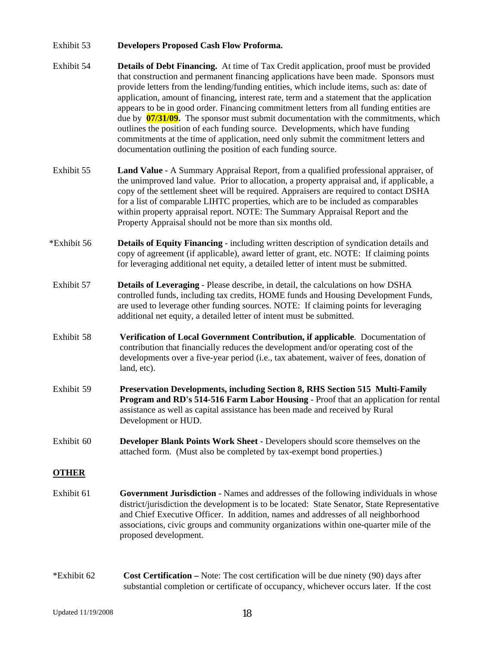#### Exhibit 53 **Developers Proposed Cash Flow Proforma.**

- Exhibit 54 **Details of Debt Financing.** At time of Tax Credit application, proof must be provided that construction and permanent financing applications have been made. Sponsors must provide letters from the lending/funding entities, which include items, such as: date of application, amount of financing, interest rate, term and a statement that the application appears to be in good order. Financing commitment letters from all funding entities are due by **07/31/09.** The sponsor must submit documentation with the commitments, which outlines the position of each funding source. Developments, which have funding commitments at the time of application, need only submit the commitment letters and documentation outlining the position of each funding source.
- Exhibit 55 **Land Value** A Summary Appraisal Report, from a qualified professional appraiser, of the unimproved land value. Prior to allocation, a property appraisal and, if applicable, a copy of the settlement sheet will be required. Appraisers are required to contact DSHA for a list of comparable LIHTC properties, which are to be included as comparables within property appraisal report. NOTE: The Summary Appraisal Report and the Property Appraisal should not be more than six months old.
- \*Exhibit 56 **Details of Equity Financing** including written description of syndication details and copy of agreement (if applicable), award letter of grant, etc. NOTE: If claiming points for leveraging additional net equity, a detailed letter of intent must be submitted.
- Exhibit 57 **Details of Leveraging** Please describe, in detail, the calculations on how DSHA controlled funds, including tax credits, HOME funds and Housing Development Funds, are used to leverage other funding sources. NOTE: If claiming points for leveraging additional net equity, a detailed letter of intent must be submitted.
- Exhibit 58 **Verification of Local Government Contribution, if applicable**. Documentation of contribution that financially reduces the development and/or operating cost of the developments over a five-year period (i.e., tax abatement, waiver of fees, donation of land, etc).
- Exhibit 59 **Preservation Developments, including Section 8, RHS Section 515 Multi-Family Program and RD's 514-516 Farm Labor Housing** - Proof that an application for rental assistance as well as capital assistance has been made and received by Rural Development or HUD.
- Exhibit 60 **Developer Blank Points Work Sheet** Developers should score themselves on the attached form. (Must also be completed by tax-exempt bond properties.)

#### **OTHER**

- Exhibit 61 **Government Jurisdiction** Names and addresses of the following individuals in whose district/jurisdiction the development is to be located: State Senator, State Representative and Chief Executive Officer. In addition, names and addresses of all neighborhood associations, civic groups and community organizations within one-quarter mile of the proposed development.
- \*Exhibit 62 **Cost Certification** Note: The cost certification will be due ninety (90) days after substantial completion or certificate of occupancy, whichever occurs later. If the cost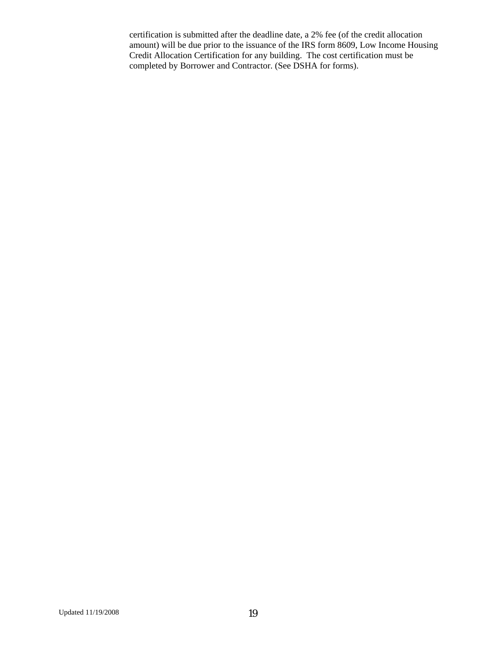certification is submitted after the deadline date, a 2% fee (of the credit allocation amount) will be due prior to the issuance of the IRS form 8609, Low Income Housing Credit Allocation Certification for any building. The cost certification must be completed by Borrower and Contractor. (See DSHA for forms).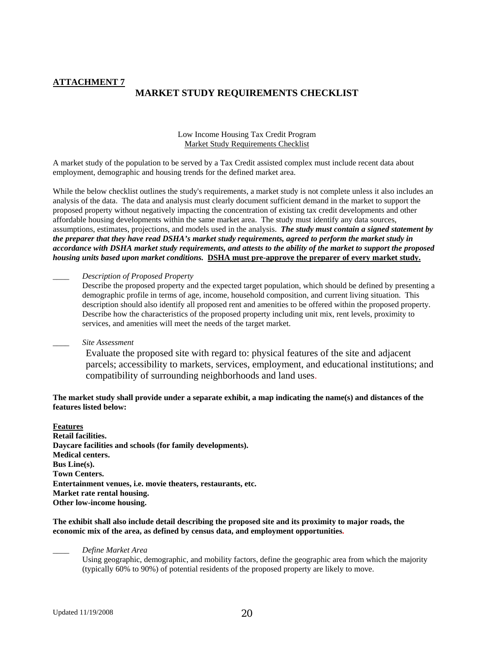#### **ATTACHMENT 7**

#### **MARKET STUDY REQUIREMENTS CHECKLIST**

Low Income Housing Tax Credit Program Market Study Requirements Checklist

A market study of the population to be served by a Tax Credit assisted complex must include recent data about employment, demographic and housing trends for the defined market area.

While the below checklist outlines the study's requirements, a market study is not complete unless it also includes an analysis of the data. The data and analysis must clearly document sufficient demand in the market to support the proposed property without negatively impacting the concentration of existing tax credit developments and other affordable housing developments within the same market area. The study must identify any data sources, assumptions, estimates, projections, and models used in the analysis. *The study must contain a signed statement by the preparer that they have read DSHA's market study requirements, agreed to perform the market study in accordance with DSHA market study requirements, and attests to the ability of the market to support the proposed housing units based upon market conditions.* **DSHA must pre-approve the preparer of every market study.**

#### \_\_\_\_ *Description of Proposed Property*

Describe the proposed property and the expected target population, which should be defined by presenting a demographic profile in terms of age, income, household composition, and current living situation. This description should also identify all proposed rent and amenities to be offered within the proposed property. Describe how the characteristics of the proposed property including unit mix, rent levels, proximity to services, and amenities will meet the needs of the target market.

#### \_\_\_\_ *Site Assessment*

Evaluate the proposed site with regard to: physical features of the site and adjacent parcels; accessibility to markets, services, employment, and educational institutions; and compatibility of surrounding neighborhoods and land uses.

#### **The market study shall provide under a separate exhibit, a map indicating the name(s) and distances of the features listed below:**

**Features Retail facilities. Daycare facilities and schools (for family developments). Medical centers. Bus Line(s). Town Centers. Entertainment venues, i.e. movie theaters, restaurants, etc. Market rate rental housing. Other low-income housing.** 

**The exhibit shall also include detail describing the proposed site and its proximity to major roads, the economic mix of the area, as defined by census data, and employment opportunities.** 

\_\_\_\_ *Define Market Area* 

Using geographic, demographic, and mobility factors, define the geographic area from which the majority (typically 60% to 90%) of potential residents of the proposed property are likely to move.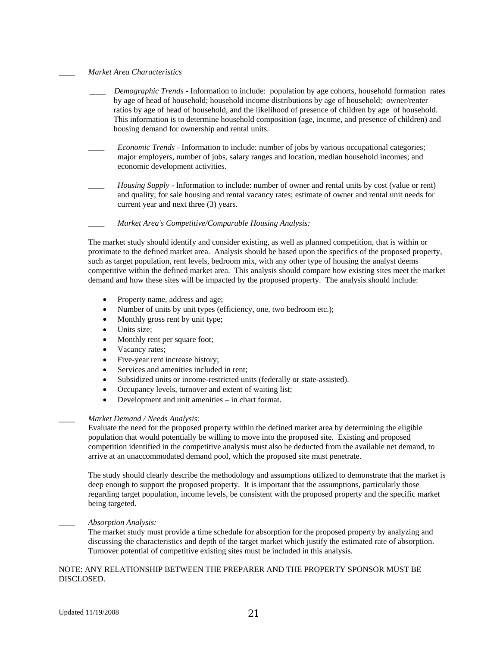#### \_\_\_\_ *Market Area Characteristics*

- \_\_\_\_ *Demographic Trends* Information to include: population by age cohorts, household formation rates by age of head of household; household income distributions by age of household; owner/renter ratios by age of head of household, and the likelihood of presence of children by age of household. This information is to determine household composition (age, income, and presence of children) and housing demand for ownership and rental units.
- \_\_\_\_ *Economic Trends* Information to include: number of jobs by various occupational categories; major employers, number of jobs, salary ranges and location, median household incomes; and economic development activities.
- *Housing Supply* Information to include: number of owner and rental units by cost (value or rent) and quality; for sale housing and rental vacancy rates; estimate of owner and rental unit needs for current year and next three (3) years.
	- \_\_\_\_ *Market Area's Competitive/Comparable Housing Analysis:*

The market study should identify and consider existing, as well as planned competition, that is within or proximate to the defined market area. Analysis should be based upon the specifics of the proposed property, such as target population, rent levels, bedroom mix, with any other type of housing the analyst deems competitive within the defined market area. This analysis should compare how existing sites meet the market demand and how these sites will be impacted by the proposed property. The analysis should include:

- Property name, address and age;
- Number of units by unit types (efficiency, one, two bedroom etc.);
- Monthly gross rent by unit type;
- Units size;
- Monthly rent per square foot;
- Vacancy rates;
- Five-year rent increase history;
- Services and amenities included in rent;
- Subsidized units or income-restricted units (federally or state-assisted).
- Occupancy levels, turnover and extent of waiting list;
- Development and unit amenities in chart format.

#### \_\_\_\_ *Market Demand / Needs Analysis:*

Evaluate the need for the proposed property within the defined market area by determining the eligible population that would potentially be willing to move into the proposed site. Existing and proposed competition identified in the competitive analysis must also be deducted from the available net demand, to arrive at an unaccommodated demand pool, which the proposed site must penetrate.

The study should clearly describe the methodology and assumptions utilized to demonstrate that the market is deep enough to support the proposed property. It is important that the assumptions, particularly those regarding target population, income levels, be consistent with the proposed property and the specific market being targeted.

#### *\_\_\_\_ Absorption Analysis:*

The market study must provide a time schedule for absorption for the proposed property by analyzing and discussing the characteristics and depth of the target market which justify the estimated rate of absorption. Turnover potential of competitive existing sites must be included in this analysis.

#### NOTE: ANY RELATIONSHIP BETWEEN THE PREPARER AND THE PROPERTY SPONSOR MUST BE DISCLOSED.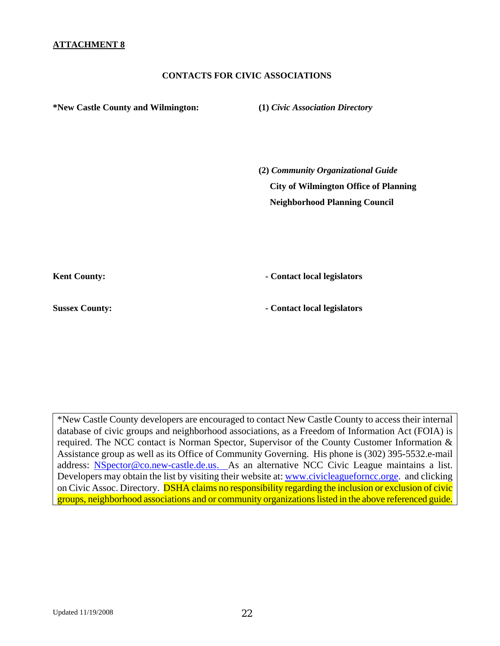#### **CONTACTS FOR CIVIC ASSOCIATIONS**

**\*New Castle County and Wilmington: (1)** *Civic Association Directory*  **(2)** *Community Organizational Guide*   **City of Wilmington Office of Planning Neighborhood Planning Council**  Kent County: **1999 Contact local legislators Contact local legislators** 

**Sussex County:**  $\qquad \qquad$  **Contact local legislators** 

\*New Castle County developers are encouraged to contact New Castle County to access their internal database of civic groups and neighborhood associations, as a Freedom of Information Act (FOIA) is required. The NCC contact is Norman Spector, Supervisor of the County Customer Information & Assistance group as well as its Office of Community Governing. His phone is (302) 395-5532.e-mail address: [NSpector@co.new-castle.de.us](mailto:NSpector@co.new-castle.de.us). As an alternative NCC Civic League maintains a list. Developers may obtain the list by visiting their website at: [www.civicleagueforncc.orge.](http://www.civicleagueforncc.orge/) and clicking on Civic Assoc. Directory. DSHA claims no responsibility regarding the inclusion or exclusion of civic groups, neighborhood associations and or community organizations listed in the above referenced guide.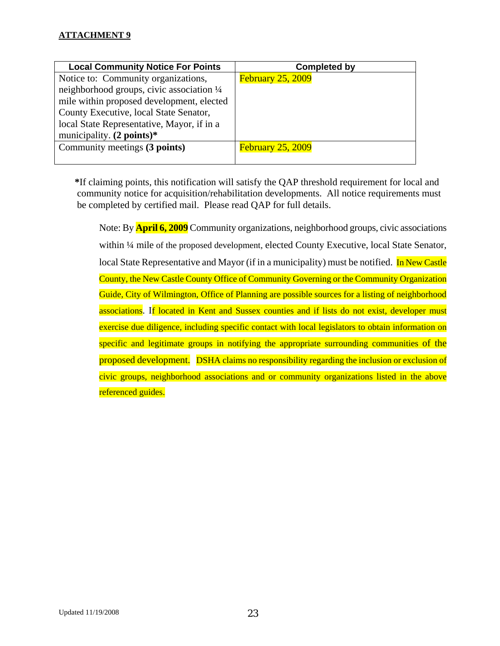## **ATTACHMENT 9**

| <b>Local Community Notice For Points</b>   | <b>Completed by</b>      |
|--------------------------------------------|--------------------------|
| Notice to: Community organizations,        | <b>February 25, 2009</b> |
| neighborhood groups, civic association 1/4 |                          |
| mile within proposed development, elected  |                          |
| County Executive, local State Senator,     |                          |
| local State Representative, Mayor, if in a |                          |
| municipality. $(2 \text{ points})^*$       |                          |
| Community meetings (3 points)              | <b>February 25, 2009</b> |
|                                            |                          |

**\***If claiming points, this notification will satisfy the QAP threshold requirement for local and community notice for acquisition/rehabilitation developments. All notice requirements must be completed by certified mail. Please read QAP for full details.

Note: By **April 6, 2009** Community organizations, neighborhood groups, civic associations within <sup>1</sup>/4 mile of the proposed development, elected County Executive, local State Senator, local State Representative and Mayor (if in a municipality) must be notified. In New Castle County, the New Castle County Office of Community Governing or the Community Organization Guide, City of Wilmington, Office of Planning are possible sources for a listing of neighborhood associations. If located in Kent and Sussex counties and if lists do not exist, developer must exercise due diligence, including specific contact with local legislators to obtain information on specific and legitimate groups in notifying the appropriate surrounding communities of the proposed development. DSHA claims no responsibility regarding the inclusion or exclusion of civic groups, neighborhood associations and or community organizations listed in the above referenced guides.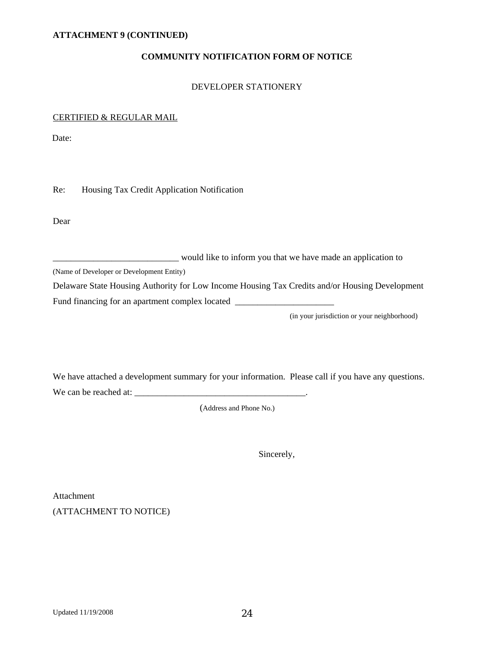#### **COMMUNITY NOTIFICATION FORM OF NOTICE**

#### DEVELOPER STATIONERY

#### CERTIFIED & REGULAR MAIL

Date:

Re: Housing Tax Credit Application Notification

Dear

|  |  | would like to inform you that we have made an application to |
|--|--|--------------------------------------------------------------|
|--|--|--------------------------------------------------------------|

(Name of Developer or Development Entity)

Delaware State Housing Authority for Low Income Housing Tax Credits and/or Housing Development Fund financing for an apartment complex located

(in your jurisdiction or your neighborhood)

We have attached a development summary for your information. Please call if you have any questions. We can be reached at: \_\_\_\_\_\_\_\_\_\_\_\_\_\_\_\_\_\_\_\_\_\_\_\_\_\_\_\_\_\_\_\_\_\_\_\_\_\_.

(Address and Phone No.)

Sincerely,

Attachment (ATTACHMENT TO NOTICE)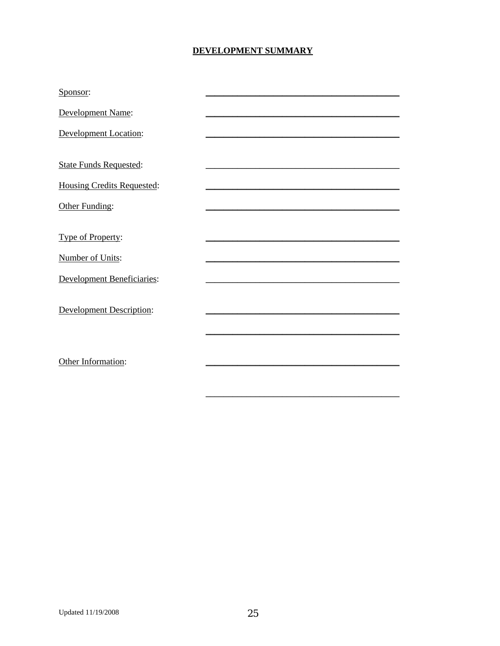## **DEVELOPMENT SUMMARY**

| Sponsor:                          |  |
|-----------------------------------|--|
| Development Name:                 |  |
| <b>Development Location:</b>      |  |
|                                   |  |
| <b>State Funds Requested:</b>     |  |
| <b>Housing Credits Requested:</b> |  |
| Other Funding:                    |  |
|                                   |  |
| Type of Property:                 |  |
| Number of Units:                  |  |
| <b>Development Beneficiaries:</b> |  |
|                                   |  |
| <b>Development Description:</b>   |  |
|                                   |  |
|                                   |  |
| Other Information:                |  |
|                                   |  |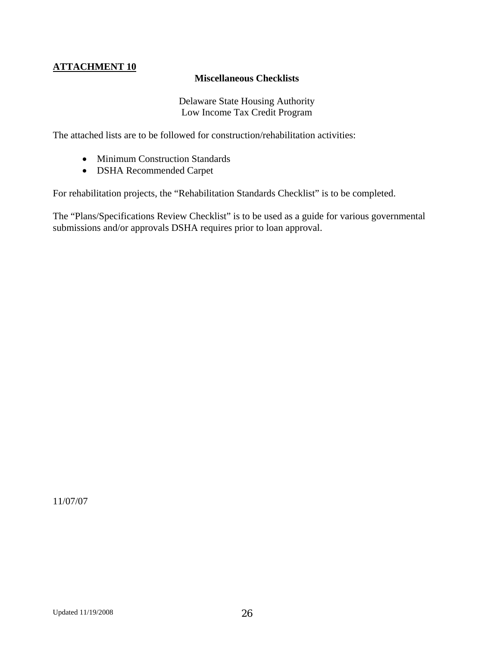# **ATTACHMENT 10**

## **Miscellaneous Checklists**

Delaware State Housing Authority Low Income Tax Credit Program

The attached lists are to be followed for construction/rehabilitation activities:

- Minimum Construction Standards
- DSHA Recommended Carpet

For rehabilitation projects, the "Rehabilitation Standards Checklist" is to be completed.

The "Plans/Specifications Review Checklist" is to be used as a guide for various governmental submissions and/or approvals DSHA requires prior to loan approval.

11/07/07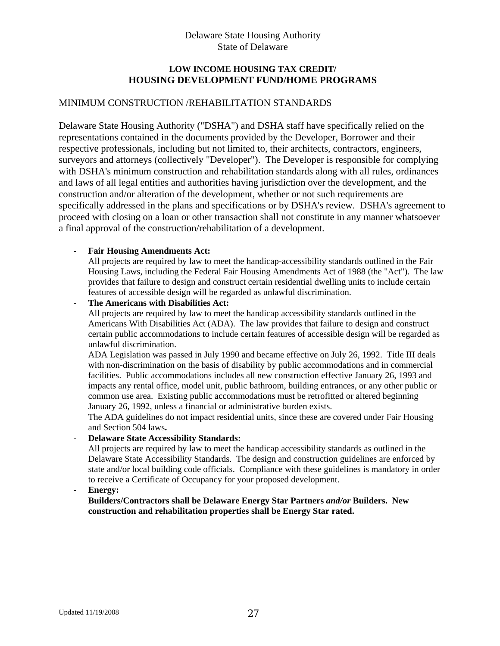## Delaware State Housing Authority State of Delaware

## **LOW INCOME HOUSING TAX CREDIT/ HOUSING DEVELOPMENT FUND/HOME PROGRAMS**

## MINIMUM CONSTRUCTION /REHABILITATION STANDARDS

Delaware State Housing Authority ("DSHA") and DSHA staff have specifically relied on the representations contained in the documents provided by the Developer, Borrower and their respective professionals, including but not limited to, their architects, contractors, engineers, surveyors and attorneys (collectively "Developer"). The Developer is responsible for complying with DSHA's minimum construction and rehabilitation standards along with all rules, ordinances and laws of all legal entities and authorities having jurisdiction over the development, and the construction and/or alteration of the development, whether or not such requirements are specifically addressed in the plans and specifications or by DSHA's review. DSHA's agreement to proceed with closing on a loan or other transaction shall not constitute in any manner whatsoever a final approval of the construction/rehabilitation of a development.

#### **- Fair Housing Amendments Act:**

All projects are required by law to meet the handicap-accessibility standards outlined in the Fair Housing Laws, including the Federal Fair Housing Amendments Act of 1988 (the "Act"). The law provides that failure to design and construct certain residential dwelling units to include certain features of accessible design will be regarded as unlawful discrimination.

#### **- The Americans with Disabilities Act:**

All projects are required by law to meet the handicap accessibility standards outlined in the Americans With Disabilities Act (ADA). The law provides that failure to design and construct certain public accommodations to include certain features of accessible design will be regarded as unlawful discrimination.

ADA Legislation was passed in July 1990 and became effective on July 26, 1992. Title III deals with non-discrimination on the basis of disability by public accommodations and in commercial facilities. Public accommodations includes all new construction effective January 26, 1993 and impacts any rental office, model unit, public bathroom, building entrances, or any other public or common use area. Existing public accommodations must be retrofitted or altered beginning January 26, 1992, unless a financial or administrative burden exists.

The ADA guidelines do not impact residential units, since these are covered under Fair Housing and Section 504 laws**.** 

#### **- Delaware State Accessibility Standards:**

All projects are required by law to meet the handicap accessibility standards as outlined in the Delaware State Accessibility Standards. The design and construction guidelines are enforced by state and/or local building code officials. Compliance with these guidelines is mandatory in order to receive a Certificate of Occupancy for your proposed development.

#### **- Energy:**

**Builders/Contractors shall be Delaware Energy Star Partners** *and/or* **Builders. New construction and rehabilitation properties shall be Energy Star rated.**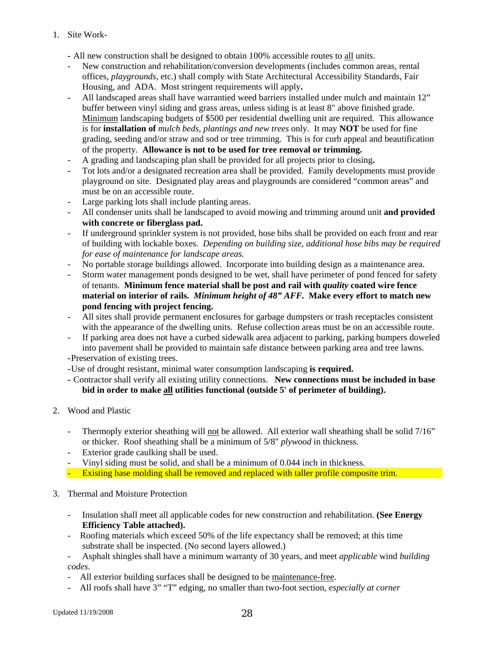- 1. Site Work-
	- All new construction shall be designed to obtain 100% accessible routes to all units.
	- New construction and rehabilitation/conversion developments (includes common areas, rental offices, *playgrounds,* etc.) shall comply with State Architectural Accessibility Standards, Fair Housing, and ADA. Most stringent requirements will apply**.**
	- All landscaped areas shall have warrantied weed barriers installed under mulch and maintain 12" buffer between vinyl siding and grass areas, unless siding is at least 8" above finished grade. Minimum landscaping budgets of \$500 per residential dwelling unit are required. This allowance is for **installation of** *mulch beds, plantings and new trees* only. It may **NOT** be used for fine grading, seeding and/or straw and sod or tree trimming. This is for curb appeal and beautification of the property. **Allowance is not to be used for tree removal or trimming.**
	- A grading and landscaping plan shall be provided for all projects prior to closing**.**
	- Tot lots and/or a designated recreation area shall be provided. Family developments must provide playground on site. Designated play areas and playgrounds are considered "common areas" and must be on an accessible route.
	- Large parking lots shall include planting areas.
	- All condenser units shall be landscaped to avoid mowing and trimming around unit **and provided with concrete or fiberglass pad.**
	- If underground sprinkler system is not provided, hose bibs shall be provided on each front and rear of building with lockable boxes. *Depending on building size, additional hose bibs may be required for ease of maintenance for landscape areas.*
	- No portable storage buildings allowed. Incorporate into building design as a maintenance area.
	- Storm water management ponds designed to be wet, shall have perimeter of pond fenced for safety of tenants. **Minimum fence material shall be post and rail with** *quality* **coated wire fence material on interior of rails.** *Minimum height of 48" AFF.* **Make every effort to match new pond fencing with project fencing.**
	- All sites shall provide permanent enclosures for garbage dumpsters or trash receptacles consistent with the appearance of the dwelling units. Refuse collection areas must be on an accessible route.
	- If parking area does not have a curbed sidewalk area adjacent to parking, parking bumpers doweled into pavement shall be provided to maintain safe distance between parking area and tree lawns.
	- **-**Preservation of existing trees.
	- Use of drought resistant, minimal water consumption landscaping **is required.**
	- Contractor shall verify all existing utility connections. **New connections must be included in base bid in order to make all utilities functional (outside 5' of perimeter of building).**
- 2. Wood and Plastic
	- Thermoply exterior sheathing will not be allowed. All exterior wall sheathing shall be solid 7/16" or thicker. Roof sheathing shall be a minimum of 5/8" *plywood* in thickness.
	- Exterior grade caulking shall be used.
	- Vinyl siding must be solid, and shall be a minimum of 0.044 inch in thickness.
	- Existing base molding shall be removed and replaced with taller profile composite trim.
- 3. Thermal and Moisture Protection
	- Insulation shall meet all applicable codes for new construction and rehabilitation. **(See Energy Efficiency Table attached).**
	- Roofing materials which exceed 50% of the life expectancy shall be removed; at this time substrate shall be inspected. (No second layers allowed.)
	- Asphalt shingles shall have a minimum warranty of 30 years, and meet *applicable* wind *building codes*.
	- All exterior building surfaces shall be designed to be maintenance-free.
	- All roofs shall have 3" "T" edging, no smaller than two-foot section*, especially at corner*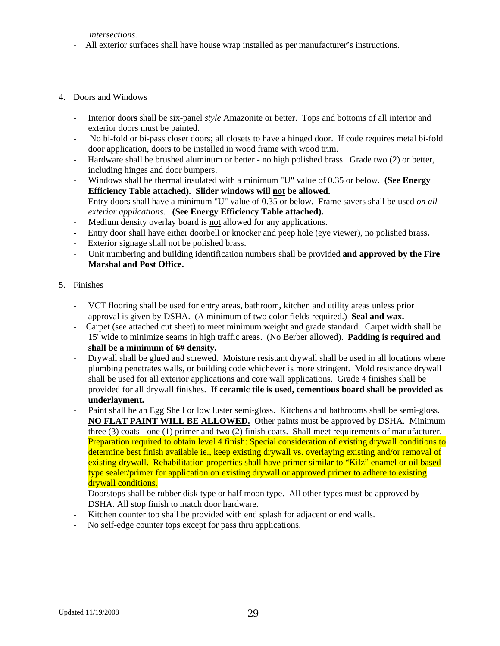*intersections.*

- All exterior surfaces shall have house wrap installed as per manufacturer's instructions.
- 4. Doors and Windows
	- Interior door**s** shall be six-panel *style* Amazonite or better. Tops and bottoms of all interior and exterior doors must be painted.
	- No bi-fold or bi-pass closet doors; all closets to have a hinged door. If code requires metal bi-fold door application, doors to be installed in wood frame with wood trim.
	- Hardware shall be brushed aluminum or better no high polished brass. Grade two (2) or better, including hinges and door bumpers.
	- Windows shall be thermal insulated with a minimum "U" value of 0.35 or below. **(See Energy Efficiency Table attached). Slider windows will not be allowed.**
	- Entry doors shall have a minimum "U" value of 0.35 or below. Frame savers shall be used *on all exterior applications*. **(See Energy Efficiency Table attached).**
	- Medium density overlay board is not allowed for any applications.
	- Entry door shall have either doorbell or knocker and peep hole (eye viewer), no polished brass**.**
	- Exterior signage shall not be polished brass.
	- Unit numbering and building identification numbers shall be provided **and approved by the Fire Marshal and Post Office.**
- 5. Finishes
	- VCT flooring shall be used for entry areas, bathroom, kitchen and utility areas unless prior approval is given by DSHA. (A minimum of two color fields required.) **Seal and wax.**
	- Carpet (see attached cut sheet) to meet minimum weight and grade standard. Carpet width shall be 15' wide to minimize seams in high traffic areas. (No Berber allowed). **Padding is required and shall be a minimum of 6# density.**
	- Drywall shall be glued and screwed. Moisture resistant drywall shall be used in all locations where plumbing penetrates walls, or building code whichever is more stringent. Mold resistance drywall shall be used for all exterior applications and core wall applications. Grade 4 finishes shall be provided for all drywall finishes. **If ceramic tile is used, cementious board shall be provided as underlayment.**
	- Paint shall be an Egg Shell or low luster semi-gloss. Kitchens and bathrooms shall be semi-gloss. **NO FLAT PAINT WILL BE ALLOWED.** Other paints must be approved by DSHA. Minimum three (3) coats - one (1) primer and two (2) finish coats. Shall meet requirements of manufacturer. Preparation required to obtain level 4 finish: Special consideration of existing drywall conditions to determine best finish available ie., keep existing drywall vs. overlaying existing and/or removal of existing drywall. Rehabilitation properties shall have primer similar to "Kilz" enamel or oil based type sealer/primer for application on existing drywall or approved primer to adhere to existing drywall conditions.
	- Doorstops shall be rubber disk type or half moon type. All other types must be approved by DSHA. All stop finish to match door hardware.
	- Kitchen counter top shall be provided with end splash for adjacent or end walls.
	- No self-edge counter tops except for pass thru applications.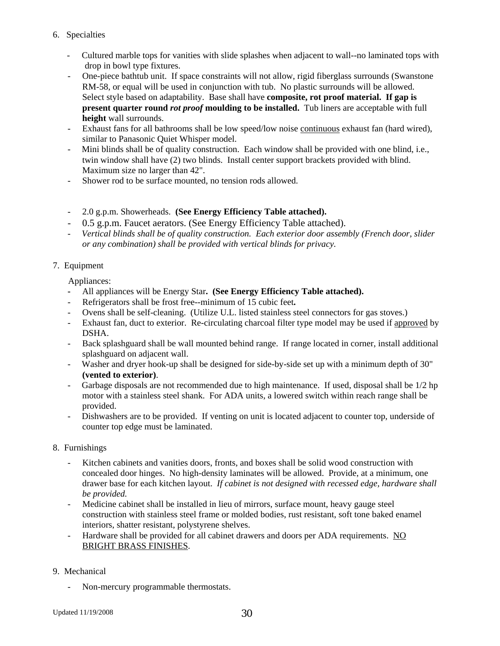- 6. Specialties
	- Cultured marble tops for vanities with slide splashes when adjacent to wall--no laminated tops with drop in bowl type fixtures.
	- One-piece bathtub unit. If space constraints will not allow, rigid fiberglass surrounds (Swanstone RM-58, or equal will be used in conjunction with tub. No plastic surrounds will be allowed. Select style based on adaptability. Base shall have **composite, rot proof material. If gap is present quarter round** *rot proof* **moulding to be installed.** Tub liners are acceptable with full **height** wall surrounds.
	- Exhaust fans for all bathrooms shall be low speed/low noise continuous exhaust fan (hard wired), similar to Panasonic Quiet Whisper model.
	- Mini blinds shall be of quality construction. Each window shall be provided with one blind, i.e., twin window shall have (2) two blinds. Install center support brackets provided with blind. Maximum size no larger than 42".
	- Shower rod to be surface mounted, no tension rods allowed.
	- 2.0 g.p.m. Showerheads. **(See Energy Efficiency Table attached).**
	- 0.5 g.p.m. Faucet aerators. (See Energy Efficiency Table attached).
	- *Vertical blinds shall be of quality construction. Each exterior door assembly (French door, slider or any combination) shall be provided with vertical blinds for privacy.*

#### 7. Equipment

Appliances:

- All appliances will be Energy Star**. (See Energy Efficiency Table attached).**
- Refrigerators shall be frost free--minimum of 15 cubic feet**.**
- Ovens shall be self-cleaning. (Utilize U.L. listed stainless steel connectors for gas stoves.)
- Exhaust fan, duct to exterior. Re-circulating charcoal filter type model may be used if approved by DSHA.
- Back splashguard shall be wall mounted behind range. If range located in corner, install additional splashguard on adjacent wall.
- Washer and dryer hook-up shall be designed for side-by-side set up with a minimum depth of 30" **(vented to exterior)**.
- Garbage disposals are not recommended due to high maintenance. If used, disposal shall be 1/2 hp motor with a stainless steel shank. For ADA units, a lowered switch within reach range shall be provided.
- Dishwashers are to be provided. If venting on unit is located adjacent to counter top, underside of counter top edge must be laminated.

#### 8. Furnishings

- Kitchen cabinets and vanities doors, fronts, and boxes shall be solid wood construction with concealed door hinges. No high-density laminates will be allowed. Provide, at a minimum, one drawer base for each kitchen layout. *If cabinet is not designed with recessed edge, hardware shall be provided.*
- Medicine cabinet shall be installed in lieu of mirrors, surface mount, heavy gauge steel construction with stainless steel frame or molded bodies, rust resistant, soft tone baked enamel interiors, shatter resistant, polystyrene shelves.
- Hardware shall be provided for all cabinet drawers and doors per ADA requirements. NO BRIGHT BRASS FINISHES.

#### 9. Mechanical

Non-mercury programmable thermostats.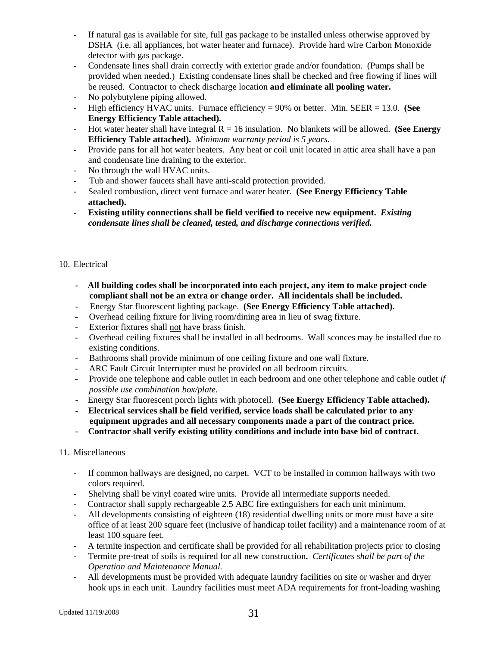- If natural gas is available for site, full gas package to be installed unless otherwise approved by DSHA (i.e. all appliances, hot water heater and furnace). Provide hard wire Carbon Monoxide detector with gas package.
- Condensate lines shall drain correctly with exterior grade and/or foundation. (Pumps shall be provided when needed.) Existing condensate lines shall be checked and free flowing if lines will be reused. Contractor to check discharge location **and eliminate all pooling water.**
- No polybutylene piping allowed.
- High efficiency HVAC units. Furnace efficiency = 90% or better. Min. SEER = 13.0. **(See Energy Efficiency Table attached).**
- Hot water heater shall have integral  $R = 16$  insulation. No blankets will be allowed. **(See Energy Efficiency Table attached).** *Minimum warranty period is 5 years.*
- Provide pans for all hot water heaters. Any heat or coil unit located in attic area shall have a pan and condensate line draining to the exterior.
- No through the wall HVAC units.
- Tub and shower faucets shall have anti-scald protection provided.
- Sealed combustion, direct vent furnace and water heater. **(See Energy Efficiency Table attached).**
- **Existing utility connections shall be field verified to receive new equipment.** *Existing condensate lines shall be cleaned, tested, and discharge connections verified.*

#### 10. Electrical

- **All building codes shall be incorporated into each project, any item to make project code compliant shall not be an extra or change order. All incidentals shall be included.**
- Energy Star fluorescent lighting package. **(See Energy Efficiency Table attached).**
- Overhead ceiling fixture for living room/dining area in lieu of swag fixture.
- Exterior fixtures shall not have brass finish.
- Overhead ceiling fixtures shall be installed in all bedrooms. Wall sconces may be installed due to existing conditions.
- Bathrooms shall provide minimum of one ceiling fixture and one wall fixture.
- ARC Fault Circuit Interrupter must be provided on all bedroom circuits.
- Provide one telephone and cable outlet in each bedroom and one other telephone and cable outlet *if possible use combination box/plate*.
- Energy Star fluorescent porch lights with photocell. **(See Energy Efficiency Table attached).**
- **Electrical services shall be field verified, service loads shall be calculated prior to any equipment upgrades and all necessary components made a part of the contract price.**
- **Contractor shall verify existing utility conditions and include into base bid of contract.**

#### 11. Miscellaneous

- If common hallways are designed, no carpet. VCT to be installed in common hallways with two colors required.
- Shelving shall be vinyl coated wire units. Provide all intermediate supports needed.
- Contractor shall supply rechargeable 2.5 ABC fire extinguishers for each unit minimum.
- All developments consisting of eighteen (18) residential dwelling units or more must have a site office of at least 200 square feet (inclusive of handicap toilet facility) and a maintenance room of at least 100 square feet.
- A termite inspection and certificate shall be provided for all rehabilitation projects prior to closing
- Termite pre-treat of soils is required for all new construction**.** *Certificates shall be part of the Operation and Maintenance Manual.*
- All developments must be provided with adequate laundry facilities on site or washer and dryer hook ups in each unit. Laundry facilities must meet ADA requirements for front-loading washing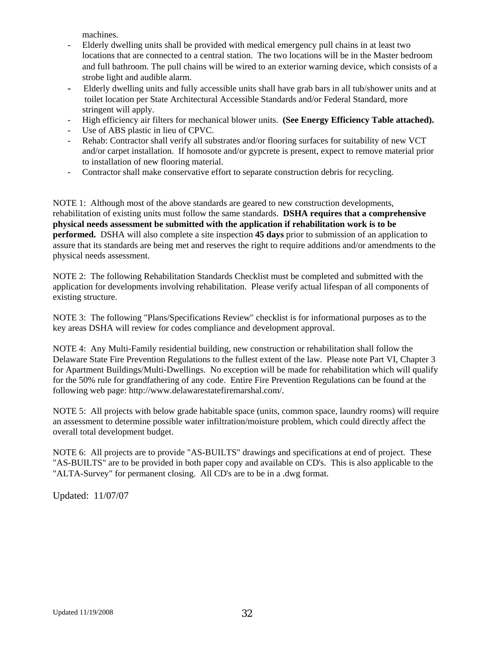machines.

- Elderly dwelling units shall be provided with medical emergency pull chains in at least two locations that are connected to a central station. The two locations will be in the Master bedroom and full bathroom. The pull chains will be wired to an exterior warning device, which consists of a strobe light and audible alarm.
- Elderly dwelling units and fully accessible units shall have grab bars in all tub/shower units and at toilet location per State Architectural Accessible Standards and/or Federal Standard, more stringent will apply.
- High efficiency air filters for mechanical blower units. **(See Energy Efficiency Table attached).**
- Use of ABS plastic in lieu of CPVC.
- Rehab: Contractor shall verify all substrates and/or flooring surfaces for suitability of new VCT and/or carpet installation. If homosote and/or gypcrete is present, expect to remove material prior to installation of new flooring material.
- Contractor shall make conservative effort to separate construction debris for recycling.

NOTE 1: Although most of the above standards are geared to new construction developments, rehabilitation of existing units must follow the same standards. **DSHA requires that a comprehensive physical needs assessment be submitted with the application if rehabilitation work is to be performed.** DSHA will also complete a site inspection **45 days** prior to submission of an application to assure that its standards are being met and reserves the right to require additions and/or amendments to the physical needs assessment.

NOTE 2: The following Rehabilitation Standards Checklist must be completed and submitted with the application for developments involving rehabilitation. Please verify actual lifespan of all components of existing structure.

NOTE 3: The following "Plans/Specifications Review" checklist is for informational purposes as to the key areas DSHA will review for codes compliance and development approval.

NOTE 4: Any Multi-Family residential building, new construction or rehabilitation shall follow the Delaware State Fire Prevention Regulations to the fullest extent of the law. Please note Part VI, Chapter 3 for Apartment Buildings/Multi-Dwellings. No exception will be made for rehabilitation which will qualify for the 50% rule for grandfathering of any code. Entire Fire Prevention Regulations can be found at the following web page: http://www.delawarestatefiremarshal.com/.

NOTE 5: All projects with below grade habitable space (units, common space, laundry rooms) will require an assessment to determine possible water infiltration/moisture problem, which could directly affect the overall total development budget.

NOTE 6: All projects are to provide "AS-BUILTS" drawings and specifications at end of project. These "AS-BUILTS" are to be provided in both paper copy and available on CD's. This is also applicable to the "ALTA-Survey" for permanent closing. All CD's are to be in a .dwg format.

Updated: 11/07/07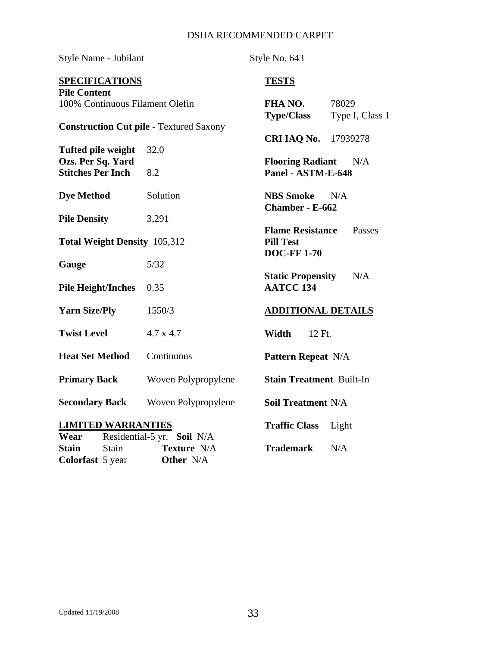## DSHA RECOMMENDED CARPET

| Style Name - Jubilant                          |                                                | Style No. 643                                |                          |
|------------------------------------------------|------------------------------------------------|----------------------------------------------|--------------------------|
| <b>SPECIFICATIONS</b><br><b>Pile Content</b>   |                                                | <b>TESTS</b>                                 |                          |
| 100% Continuous Filament Olefin                |                                                | FHA NO.<br><b>Type/Class</b>                 | 78029<br>Type I, Class 1 |
|                                                | <b>Construction Cut pile - Textured Saxony</b> | <b>CRI IAQ No.</b>                           | 17939278                 |
| <b>Tufted pile weight</b><br>Ozs. Per Sq. Yard | 32.0                                           | <b>Flooring Radiant</b>                      | N/A                      |
| <b>Stitches Per Inch</b>                       | 8.2                                            | Panel - ASTM-E-648                           |                          |
| <b>Dye Method</b>                              | Solution                                       | <b>NBS</b> Smoke<br>Chamber - E-662          | N/A                      |
| <b>Pile Density</b>                            | 3,291                                          | <b>Flame Resistance</b>                      | Passes                   |
| <b>Total Weight Density 105,312</b>            |                                                | <b>Pill Test</b><br><b>DOC-FF1-70</b>        |                          |
| Gauge                                          | 5/32                                           |                                              | N/A                      |
| <b>Pile Height/Inches</b>                      | 0.35                                           | <b>Static Propensity</b><br><b>AATCC 134</b> |                          |
| <b>Yarn Size/Ply</b>                           | 1550/3                                         | <b>ADDITIONAL DETAILS</b>                    |                          |
| <b>Twist Level</b>                             | $4.7 \times 4.7$                               | Width<br>12 Ft.                              |                          |
| <b>Heat Set Method</b>                         | Continuous                                     | <b>Pattern Repeat N/A</b>                    |                          |
| <b>Primary Back</b>                            | Woven Polypropylene                            | <b>Stain Treatment Built-In</b>              |                          |
| <b>Secondary Back</b>                          | Woven Polypropylene                            | <b>Soil Treatment N/A</b>                    |                          |
| <b>LIMITED WARRANTIES</b><br>Wear              | Residential-5 yr. Soil N/A                     | <b>Traffic Class</b>                         | Light                    |
| Stain<br><b>Stain</b><br>Colorfast 5 year      | Texture N/A<br>Other N/A                       | <b>Trademark</b>                             | N/A                      |

**Colorfast** 5 year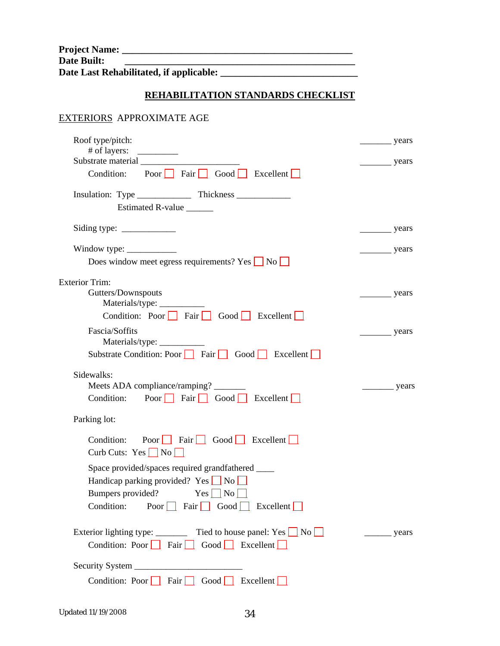| <b>Project Name:</b> |                                         |  |
|----------------------|-----------------------------------------|--|
| Date Built:          |                                         |  |
|                      | Date Last Rehabilitated, if applicable: |  |

# **REHABILITATION STANDARDS CHECKLIST**

# EXTERIORS APPROXIMATE AGE

| Roof type/pitch:<br># of layers: $\frac{1}{\sqrt{1-\frac{1}{2}}}\left  \frac{f(x)}{f(x)} \right $                    | $\frac{\ }{\ }$ years |  |
|----------------------------------------------------------------------------------------------------------------------|-----------------------|--|
| Substrate material                                                                                                   | years                 |  |
| Condition: Poor Fair Good Excellent                                                                                  |                       |  |
|                                                                                                                      |                       |  |
| Estimated R-value ______                                                                                             |                       |  |
|                                                                                                                      | years                 |  |
| Window type: $\frac{\ }{\ }$                                                                                         | years                 |  |
| Does window meet egress requirements? Yes $\Box$ No $\Box$                                                           |                       |  |
| <b>Exterior Trim:</b>                                                                                                |                       |  |
| Gutters/Downspouts                                                                                                   | years                 |  |
| Materials/type: _____________<br>Condition: Poor $\Box$ Fair $\Box$ Good $\Box$ Excellent $\Box$                     |                       |  |
| Fascia/Soffits                                                                                                       |                       |  |
| Materials/type: _________                                                                                            | years                 |  |
| Substrate Condition: Poor $\Box$ Fair $\Box$ Good $\Box$ Excellent $\Box$                                            |                       |  |
| Sidewalks:                                                                                                           |                       |  |
| Meets ADA compliance/ramping?                                                                                        | $\frac{\ }{\ }$ years |  |
| Condition: Poor Fair Good Excellent                                                                                  |                       |  |
| Parking lot:                                                                                                         |                       |  |
| Condition: Poor Fair Good Excellent<br>Curb Cuts: $Yes \Box No \Box$                                                 |                       |  |
| Space provided/spaces required grandfathered ______                                                                  |                       |  |
| Handicap parking provided? Yes $\Box$ No                                                                             |                       |  |
| Bumpers provided?<br>$Yes \nightharpoonup No \nightharpoonup$                                                        |                       |  |
| Condition: Poor Fair Good Excellent                                                                                  |                       |  |
|                                                                                                                      |                       |  |
| Exterior lighting type: ___________ Tied to house panel: Yes $\Box$ No $\Box$<br>Condition: Poor Fair Good Excellent | $\frac{\ }{\ }$ years |  |
|                                                                                                                      |                       |  |
|                                                                                                                      |                       |  |
| Condition: Poor Fair Good Excellent                                                                                  |                       |  |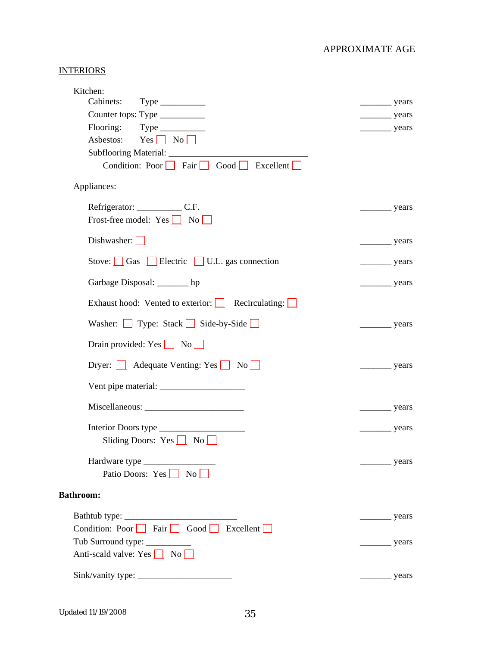## **INTERIORS**

| Kitchen:                                                                        |                            |
|---------------------------------------------------------------------------------|----------------------------|
|                                                                                 | $\frac{\ }{\ }$ years      |
| Counter tops: Type ___________                                                  | $\frac{\ }{\ }$ years      |
| Flooring: Type __________<br>Asbestos: $Yes \nightharpoonup No \nightharpoonup$ | $\frac{\ }{\ }$ years      |
|                                                                                 |                            |
| Condition: Poor Fair Good Excellent                                             |                            |
| Appliances:                                                                     |                            |
|                                                                                 | $\frac{1}{\sqrt{2}}$ years |
| Frost-free model: $Yes \t No$                                                   |                            |
| Dishwasher: $\Box$                                                              | $\frac{\ }{\ }$ years      |
| Stove: $\Box$ Gas $\Box$ Electric $\Box$ U.L. gas connection                    | $\frac{\ }{\ }$ years      |
| Garbage Disposal: _______ hp                                                    | $\frac{\ }{\ }$ years      |
| Exhaust hood: Vented to exterior: $\Box$ Recirculating: $\Box$                  |                            |
| Washer: Type: Stack Side-by-Side                                                | $\frac{\ }{\ }$ years      |
| Drain provided: $Yes \t No \t N$                                                |                            |
| Dryer: <b>Adequate Venting: Yes</b> No                                          | $\frac{1}{2}$ years        |
|                                                                                 |                            |
|                                                                                 | $\frac{\ }{2}$ years       |
|                                                                                 | $\frac{\ }{\ }$ years      |
| Sliding Doors: Yes $\Box$ No $\Box$                                             |                            |
|                                                                                 | years                      |
| Patio Doors: $Yes \t No \t N$                                                   |                            |
| <b>Bathroom:</b>                                                                |                            |
|                                                                                 | years                      |
| Condition: Poor $\Box$ Fair $\Box$ Good $\Box$ Excellent $\Box$                 |                            |
| Tub Surround type: __________                                                   | years                      |
| Anti-scald valve: Yes $\Box$ No $\Box$                                          |                            |
|                                                                                 | years                      |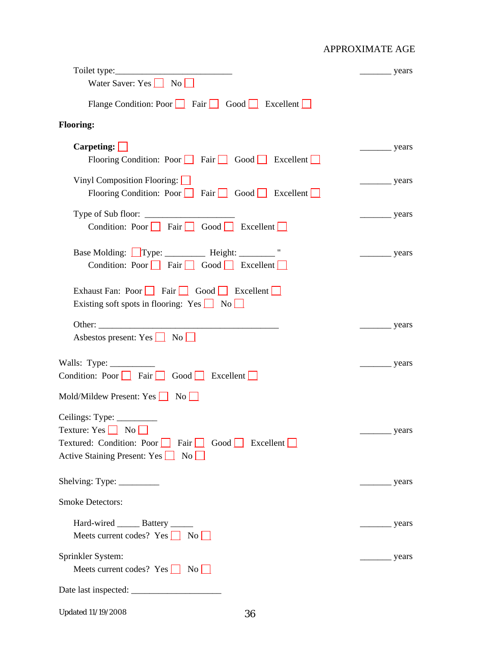|                                                                                                                               | years                 |
|-------------------------------------------------------------------------------------------------------------------------------|-----------------------|
| Water Saver: Yes $\Box$ No $\Box$                                                                                             |                       |
| Flange Condition: Poor $\Box$ Fair $\Box$ Good $\Box$ Excellent $\Box$                                                        |                       |
| <b>Flooring:</b>                                                                                                              |                       |
| $Carpeting: \boxed{\phantom{C} \phantom{C} }$<br>Flooring Condition: Poor Fair Good Excellent                                 | $\frac{1}{2}$ years   |
| Vinyl Composition Flooring: $\boxed{\phantom{a}}$<br>Flooring Condition: Poor Fair Good Excellent                             | $\frac{\ }{\ }$ years |
| Condition: Poor Fair Good Excellent                                                                                           | years                 |
| Base Molding: Type: __________ Height: ________ "<br>Condition: Poor Fair Good Excellent                                      | years                 |
| Exhaust Fan: Poor Fair Good Excellent<br>Existing soft spots in flooring: Yes $\boxed{\phantom{a}}$ No $\boxed{\phantom{a}}$  |                       |
| Asbestos present: Yes $\Box$ No $\Box$                                                                                        | years                 |
| Walls: Type: ____________<br>Condition: Poor $\Box$ Fair $\Box$ Good $\Box$ Excellent $\Box$<br>Mold/Mildew Present: Yes   No | years                 |
| $Ceilings: Type: \_\_$<br>Textured: Condition: Poor Fair Good Research<br>Active Staining Present: Yes 1 No                   | $\frac{1}{2}$ years   |
| Shelving: Type: $\frac{2}{\sqrt{2}}$                                                                                          | years                 |
| <b>Smoke Detectors:</b>                                                                                                       |                       |
| Hard-wired _______ Battery ______<br>Meets current codes? $Yes \t No$                                                         | years                 |
| Sprinkler System:<br>Meets current codes? Yes $\Box$ No $\Box$                                                                | years                 |
| Date last inspected: __________                                                                                               |                       |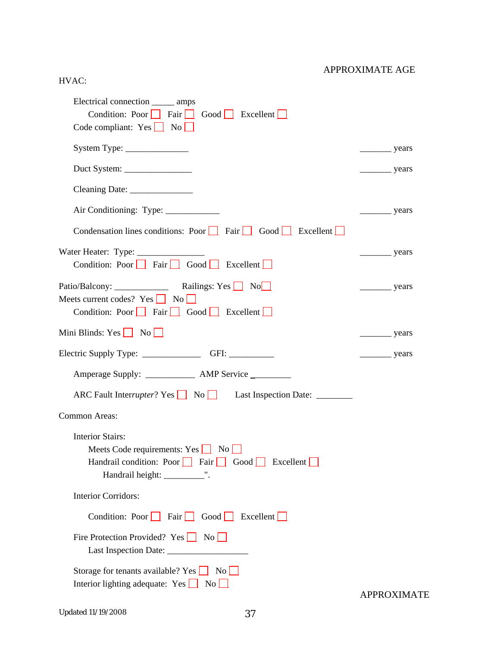## HVAC:

| Electrical connection _______ amps<br>Condition: Poor $\Box$ Fair $\Box$ Good $\Box$ Excellent $\Box$<br>Code compliant: $Yes \t No$                                                                                                                                                                                                                                                                                                          |                       |
|-----------------------------------------------------------------------------------------------------------------------------------------------------------------------------------------------------------------------------------------------------------------------------------------------------------------------------------------------------------------------------------------------------------------------------------------------|-----------------------|
|                                                                                                                                                                                                                                                                                                                                                                                                                                               | $\frac{\ }{\ }$ years |
|                                                                                                                                                                                                                                                                                                                                                                                                                                               | $\frac{\ }{\ }$ years |
|                                                                                                                                                                                                                                                                                                                                                                                                                                               |                       |
| Air Conditioning: Type: ___________                                                                                                                                                                                                                                                                                                                                                                                                           | $\frac{\ }{\ }$ years |
| Condensation lines conditions: Poor Fair Good Excellent                                                                                                                                                                                                                                                                                                                                                                                       |                       |
| Condition: Poor Fair Good Excellent                                                                                                                                                                                                                                                                                                                                                                                                           | $\frac{\ }{\ }$ years |
| Meets current codes? $Yes \n\begin{array}{ c c } \n\hline\n\end{array} No \n\begin{array}{ c c } \n\hline\n\end{array} No \n\begin{array}{ c c c } \n\hline\n\end{array} No \n\begin{array}{ c c c } \n\hline\n\end{array} No \n\begin{array}{ c c c c } \n\hline\n\end{array} No \n\begin{array}{ c c c c } \n\hline\n\end{array} No \n\begin{array}{ c c c c c } \n\hline\n\end{array} No \n\begin{$<br>Condition: Poor Fair Good Excellent | $\frac{\ }{\ }$ years |
| Mini Blinds: Yes $\Box$ No $\Box$                                                                                                                                                                                                                                                                                                                                                                                                             | $\frac{1}{2}$ years   |
|                                                                                                                                                                                                                                                                                                                                                                                                                                               | $\frac{\ }{\ }$ years |
| Amperage Supply: _______________ AMP Service _________                                                                                                                                                                                                                                                                                                                                                                                        |                       |
| ARC Fault Interrupter? Yes No No Last Inspection Date: ________                                                                                                                                                                                                                                                                                                                                                                               |                       |
| Common Areas:                                                                                                                                                                                                                                                                                                                                                                                                                                 |                       |
| <b>Interior Stairs:</b><br>Meets Code requirements: Yes $\Box$ No $\Box$<br>Handrail condition: Poor $\Box$ Fair $\Box$ Good $\Box$ Excellent $\Box$<br>Handrail height: _____________".                                                                                                                                                                                                                                                      |                       |
| <b>Interior Corridors:</b>                                                                                                                                                                                                                                                                                                                                                                                                                    |                       |
| Condition: Poor Fair Good Excellent                                                                                                                                                                                                                                                                                                                                                                                                           |                       |
| Fire Protection Provided? Yes No                                                                                                                                                                                                                                                                                                                                                                                                              |                       |
| Storage for tenants available? Yes $\boxed{\phantom{a}}$ No $\boxed{\phantom{a}}$<br>Interior lighting adequate: $Yes \t No \t N$                                                                                                                                                                                                                                                                                                             | <b>APPROXIMATE</b>    |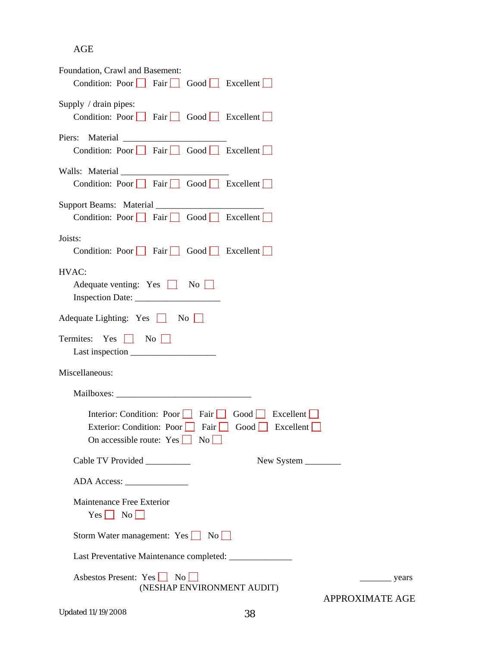# AGE

| Foundation, Crawl and Basement:<br>Condition: Poor Fair Good Excellent                                                                  |
|-----------------------------------------------------------------------------------------------------------------------------------------|
| Supply / drain pipes:<br>Condition: Poor Fair Good Excellent                                                                            |
| Condition: Poor Fair Good Excellent                                                                                                     |
| Condition: Poor Fair Good Excellent                                                                                                     |
| Condition: Poor $\Box$ Fair $\Box$ Good $\Box$ Excellent $\Box$                                                                         |
| Joists:<br>Condition: Poor   Fair   Good   Excellent                                                                                    |
| HVAC:<br>Adequate venting: Yes $\Box$ No $\Box$                                                                                         |
| Adequate Lighting: Yes $\boxed{\phantom{a}}$ No $\boxed{\phantom{a}}$                                                                   |
| Termites: Yes   No                                                                                                                      |
| Miscellaneous:                                                                                                                          |
|                                                                                                                                         |
| Interior: Condition: Poor Fair Good Excellent<br>Exterior: Condition: Poor Fair Good Excellent<br>On accessible route: $Yes \t No \t N$ |
| Cable TV Provided __________<br>New System ________                                                                                     |
|                                                                                                                                         |
| Maintenance Free Exterior<br>$Yes \t No \t$                                                                                             |
| Storm Water management: Yes No                                                                                                          |
| Last Preventative Maintenance completed: _______________                                                                                |
| Asbestos Present: Yes No<br>_ years<br>(NESHAP ENVIRONMENT AUDIT)<br>APPROXIMATE AGE                                                    |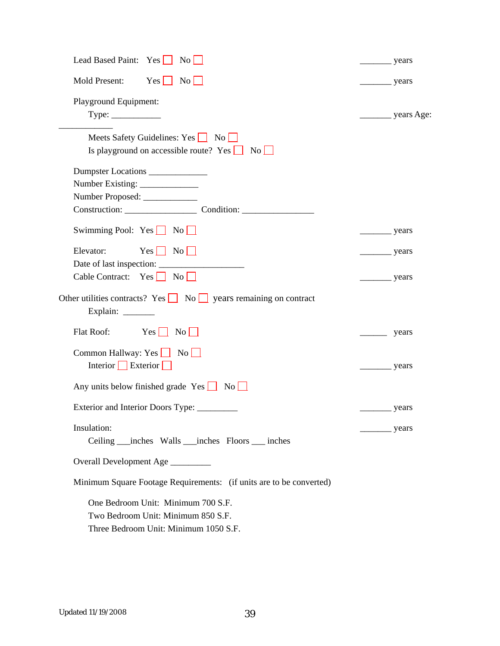| Lead Based Paint: Yes No                                                                                          | $\frac{\ }{\ }$ years      |                            |
|-------------------------------------------------------------------------------------------------------------------|----------------------------|----------------------------|
| $Yes \Box No \Box$<br>Mold Present:                                                                               | $\frac{1}{\sqrt{2}}$ years |                            |
| Playground Equipment:<br>$Type: \_\_\_\_\_\_\_\_\_\_\_\_\_\_\_\_\_\_$                                             |                            |                            |
| Meets Safety Guidelines: Yes <b>No</b><br>Is playground on accessible route? Yes $\Box$ No $\Box$                 |                            |                            |
| Dumpster Locations<br>Number Proposed: ______________<br>Construction: Condition: Condition:                      |                            |                            |
| Swimming Pool: $Yes \t No \t N$                                                                                   |                            | years                      |
| $Yes \mid No \mid$<br>Elevator:                                                                                   |                            | $\frac{1}{\sqrt{2}}$ years |
| Cable Contract: $Yes \n\boxed{No \n\boxed{} }$                                                                    | $\frac{1}{\sqrt{2}}$ years |                            |
| Other utilities contracts? Yes $\Box$ No $\Box$ years remaining on contract<br>Explain: $\_\_$                    |                            |                            |
| Flat Roof:<br>Yes No                                                                                              |                            | years                      |
| Common Hallway: Yes $\Box$ No<br>Interior Exterior                                                                | $\frac{\ }{\ }$ years      |                            |
| Any units below finished grade $Yes \_$ No $\_$                                                                   |                            |                            |
|                                                                                                                   | years                      |                            |
| Insulation:<br>Ceiling ____ inches Walls ____ inches Floors _____ inches                                          |                            | years                      |
| Overall Development Age ________                                                                                  |                            |                            |
| Minimum Square Footage Requirements: (if units are to be converted)                                               |                            |                            |
| One Bedroom Unit: Minimum 700 S.F.<br>Two Bedroom Unit: Minimum 850 S.F.<br>Three Bedroom Unit: Minimum 1050 S.F. |                            |                            |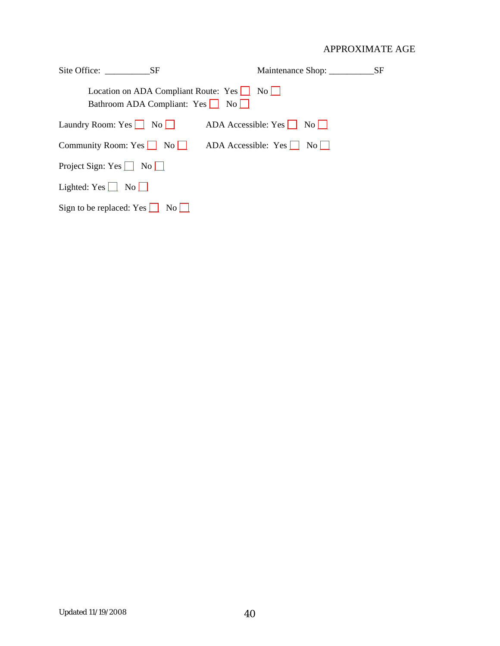| Site Office: SF                                                                     |                          | <b>SF</b> |
|-------------------------------------------------------------------------------------|--------------------------|-----------|
| Location on ADA Compliant Route: $Yes \t No$<br>Bathroom ADA Compliant: $Yes \t No$ |                          |           |
| Laundry Room: Yes   No                                                              | ADA Accessible: Yes   No |           |
| Community Room: Yes No                                                              | ADA Accessible: Yes   No |           |
| Project Sign: Yes $\Box$ No $\Box$                                                  |                          |           |
| Lighted: $Yes \t No \t$                                                             |                          |           |
| Sign to be replaced: Yes $\Box$ No $\Box$                                           |                          |           |
|                                                                                     |                          |           |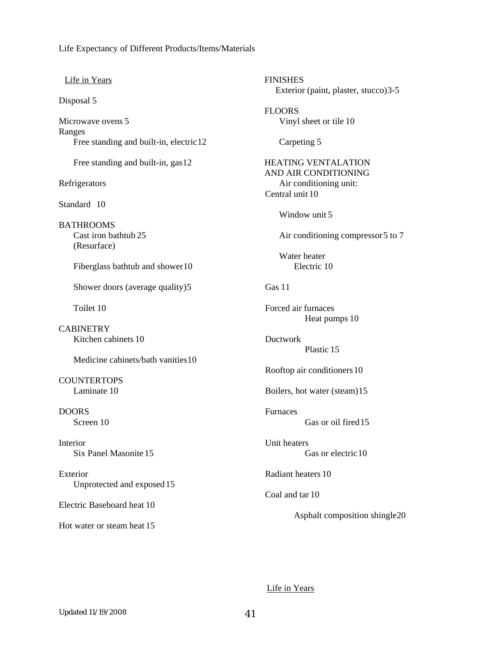Life Expectancy of Different Products/Items/Materials

#### Life in Years

Disposal 5

Microwave ovens 5 Ranges Free standing and built-in, electric 12

Free standing and built-in, gas 12

Refrigerators

Standard 10

BATHROOMS Cast iron bathtub 25 (Resurface)

Fiberglass bathtub and shower 10

Shower doors (average quality) 5

Toilet 10

**CABINETRY** Kitchen cabinets 10

Medicine cabinets/bath vanities 10

**COUNTERTOPS** Laminate 10

DOORS Screen 10

Interior Six Panel Masonite 15

Exterior Unprotected and exposed 15

Electric Baseboard heat 10

Hot water or steam heat 15

FINISHES Exterior (paint, plaster, stucco) 3-5 FLOORS Vinyl sheet or tile 10 Carpeting 5 HEATING VENTALATION AND AIR CONDITIONING Air conditioning unit: Central unit 10 Window unit 5 Air conditioning compressor 5 to 7 Water heater Electric 10 Gas 11 Forced air furnaces Heat pumps 10 Ductwork Plastic 15 Rooftop air conditioners 10 Boilers, hot water (steam) 15 **Furnaces** Gas or oil fired 15 Unit heaters Gas or electric 10 Radiant heaters 10 Coal and tar 10 Asphalt composition shingle 20

Life in Years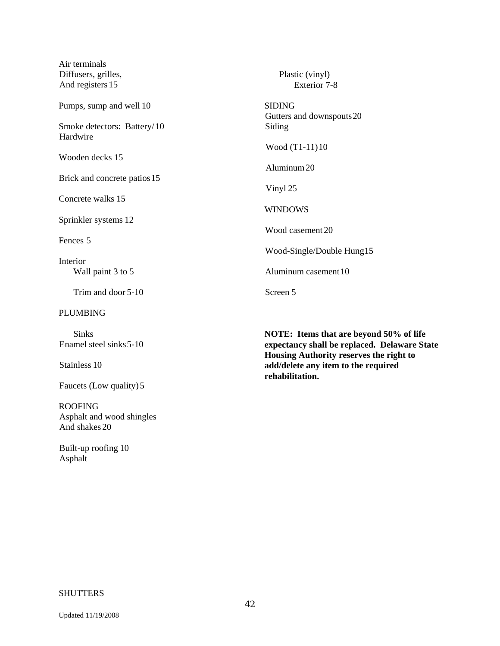| <b>Sinks</b>                            | <b>NOTE:</b> Items that are beyond 5       |
|-----------------------------------------|--------------------------------------------|
| <b>PLUMBING</b>                         |                                            |
| Trim and door 5-10                      | Screen 5                                   |
| Wall paint 3 to 5                       | Aluminum casement 10                       |
| Interior                                | Wood-Single/Double Hung15                  |
| Fences 5                                | Wood casement 20                           |
| Sprinkler systems 12                    | <b>WINDOWS</b>                             |
| Concrete walks 15                       | Vinyl 25                                   |
| Brick and concrete patios 15            | Aluminum 20                                |
| Wooden decks 15                         | Wood (T1-11)10                             |
| Smoke detectors: Battery/10<br>Hardwire | Siding                                     |
| Pumps, sump and well 10                 | <b>SIDING</b><br>Gutters and downspouts 20 |
| Diffusers, grilles,<br>And registers 15 | Plastic (vinyl)<br>Exterior 7-8            |
| Air terminals                           |                                            |

Enamel steel sinks 5-10

Stainless 10

Faucets (Low quality) 5

ROOFING Asphalt and wood shingles And shakes 20

 Built-up roofing 10 Asphalt

 $50\%$  of life **expectancy shall be replaced. Delaware State Housing Authority reserves the right to add/delete any item to the required rehabilitation.** 

#### **SHUTTERS**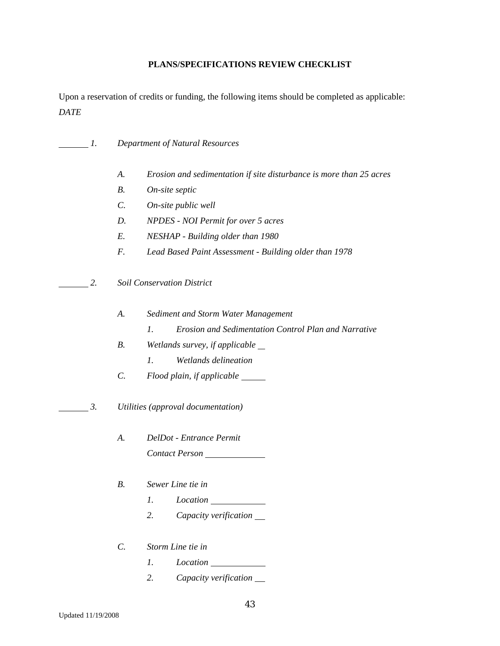#### **PLANS/SPECIFICATIONS REVIEW CHECKLIST**

Upon a reservation of credits or funding, the following items should be completed as applicable: *DATE* 

- *1. Department of Natural Resources* 
	- *A. Erosion and sedimentation if site disturbance is more than 25 acres*
	- *B. On-site septic*
	- *C. On-site public well*
	- *D. NPDES NOI Permit for over 5 acres*
	- *E. NESHAP Building older than 1980*
	- *F. Lead Based Paint Assessment Building older than 1978*
- *2. Soil Conservation District* 
	- *A. Sediment and Storm Water Management* 
		- *1. Erosion and Sedimentation Control Plan and Narrative*
	- *B. Wetlands survey, if applicable* 
		- *1. Wetlands delineation*
	- *C. Flood plain, if applicable*
- *3. Utilities (approval documentation)* 
	- *A. DelDot Entrance Permit Contact Person*
	- *B. Sewer Line tie in* 
		- *1. Location*
		- *2. Capacity verification*
	- *C. Storm Line tie in* 
		- *1. Location*
		- *2. Capacity verification*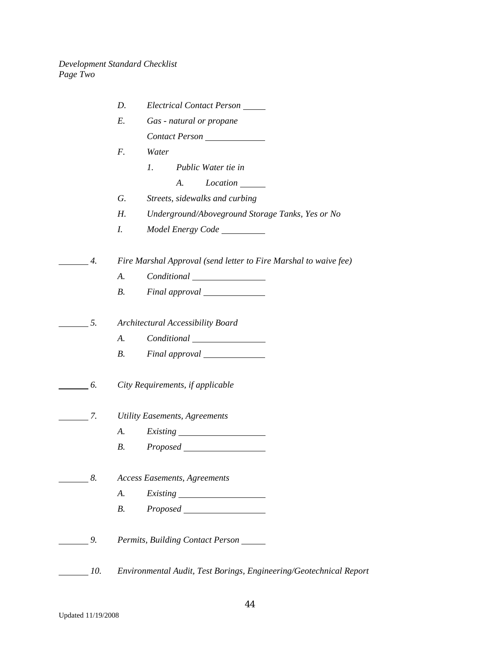|                  | D.<br>Electrical Contact Person                                    |
|------------------|--------------------------------------------------------------------|
|                  | Е.<br>Gas - natural or propane                                     |
|                  | Contact Person                                                     |
|                  | Water<br>F.                                                        |
|                  | Public Water tie in<br>1.                                          |
|                  | A.                                                                 |
|                  | G.<br>Streets, sidewalks and curbing                               |
|                  | Н.<br>Underground/Aboveground Storage Tanks, Yes or No             |
|                  | I.                                                                 |
| $\overline{4}$ . | Fire Marshal Approval (send letter to Fire Marshal to waive fee)   |
|                  | А.                                                                 |
|                  | <i>B</i> .                                                         |
|                  |                                                                    |
| 5.               | Architectural Accessibility Board                                  |
|                  | A.                                                                 |
|                  | <i>B</i> .                                                         |
| $\overline{6}$ . | City Requirements, if applicable                                   |
| $\overline{7}$ . | <b>Utility Easements, Agreements</b>                               |
|                  | А.                                                                 |
|                  | <i>Proposed</i><br><b>B.</b>                                       |
| 8.               | <b>Access Easements, Agreements</b>                                |
|                  | A.                                                                 |
|                  | Proposed<br><i>B</i> .                                             |
| 9.               | Permits, Building Contact Person                                   |
| 10.              | Environmental Audit, Test Borings, Engineering/Geotechnical Report |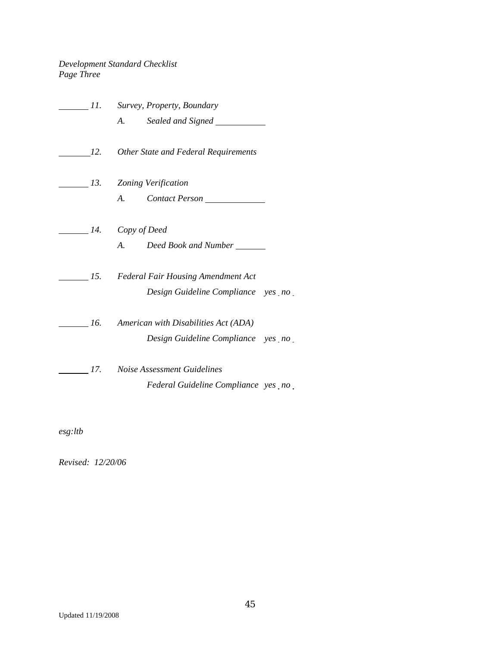## *Development Standard Checklist Page Three*

|  |                         | 11. Survey, Property, Boundary           |  |
|--|-------------------------|------------------------------------------|--|
|  |                         |                                          |  |
|  |                         | 12. Other State and Federal Requirements |  |
|  |                         | 13. Zoning Verification                  |  |
|  |                         | A. Contact Person                        |  |
|  | $\_\_$ 14. Copy of Deed |                                          |  |
|  |                         | A. Deed Book and Number                  |  |
|  |                         | 15. Federal Fair Housing Amendment Act   |  |
|  |                         | Design Guideline Compliance yes no       |  |
|  |                         | 16. American with Disabilities Act (ADA) |  |
|  |                         | Design Guideline Compliance yes no       |  |
|  |                         | 17. Noise Assessment Guidelines          |  |
|  |                         | Federal Guideline Compliance yes no      |  |

*esg:ltb* 

*Revised: 12/20/06*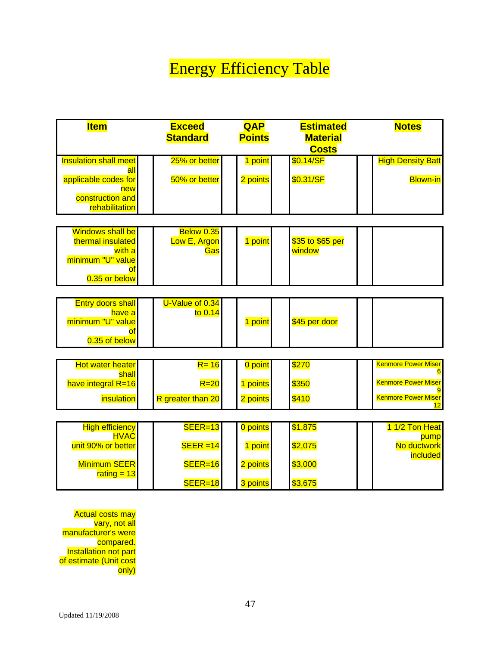# Energy Efficiency Table

| <b>Item</b>                                                              | <b>Exceed</b><br><b>Standard</b> | <b>QAP</b><br><b>Points</b> | <b>Estimated</b><br><b>Material</b><br><b>Costs</b> | <b>Notes</b>             |
|--------------------------------------------------------------------------|----------------------------------|-----------------------------|-----------------------------------------------------|--------------------------|
| <b>Insulation shall meet</b><br>a                                        | 25% or better                    | point                       | \$0.14/SF                                           | <b>High Density Batt</b> |
| applicable codes for<br>new<br>construction and<br><b>rehabilitation</b> | 50% or better                    | 2 points                    | \$0.31/SF                                           | <b>Blown-in</b>          |

| <b>Windows shall be</b><br>thermal insulated | <b>Below 0.35</b><br><b>Low E, Argon</b> | point | $\frac{$35}{10}$ \$65 per |  |
|----------------------------------------------|------------------------------------------|-------|---------------------------|--|
| with a<br>minimum "U" value                  | Gas                                      |       | <b>I</b> window           |  |
| $0.35$ or below                              |                                          |       |                           |  |

| <b>Entry doors shall</b><br>have al<br>minimum "U" value<br>ΟĪ | U-Value of $0.34$<br>to $0.14$ | point | \$45 per door |  |
|----------------------------------------------------------------|--------------------------------|-------|---------------|--|
| $0.35$ of below                                                |                                |       |               |  |

| Hot water heater<br>shall | $R = 16$          | 0 point l | \$270 | <b>Kenmore Power Miser</b> |
|---------------------------|-------------------|-----------|-------|----------------------------|
| have integral R=16        | $R = 20$          | points    | \$350 | <b>Kenmore Power Miser</b> |
| <i><b>insulation</b></i>  | R greater than 20 | 2 points  | \$410 | <b>Kenmore Power Miser</b> |

| <b>High efficiency</b><br><b>HVAC</b> | $SEER=13$   | 0 points | \$1,875 | <u>∣ 1/2 Ton Heat</u> |
|---------------------------------------|-------------|----------|---------|-----------------------|
| unit 90% or better                    | $SEER = 14$ | point    | \$2,075 | pump<br>No ductwork   |
| <b>Minimum SEER</b><br>rating $= 13$  | $SEER=16$   | 2 points | \$3,000 | <i>included</i>       |
|                                       | $SEER=18$   | 3 points | \$3,675 |                       |

Actual costs may vary, not all manufacturer's were compared. Installation not part of estimate (Unit cost only)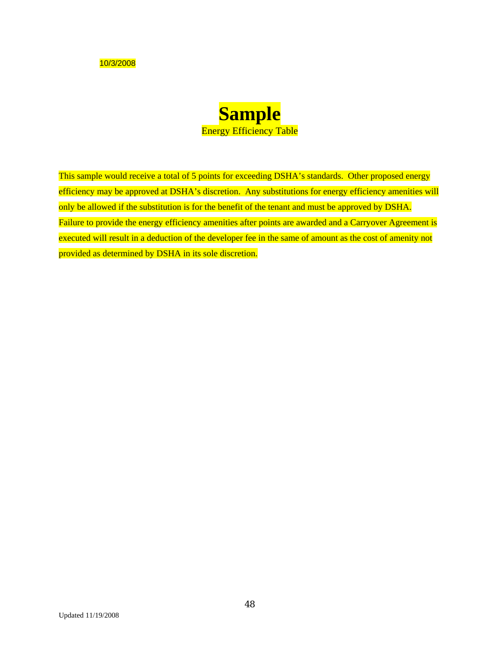10/3/2008



This sample would receive a total of 5 points for exceeding DSHA's standards. Other proposed energy efficiency may be approved at DSHA's discretion. Any substitutions for energy efficiency amenities will only be allowed if the substitution is for the benefit of the tenant and must be approved by DSHA. Failure to provide the energy efficiency amenities after points are awarded and a Carryover Agreement is executed will result in a deduction of the developer fee in the same of amount as the cost of amenity not provided as determined by DSHA in its sole discretion.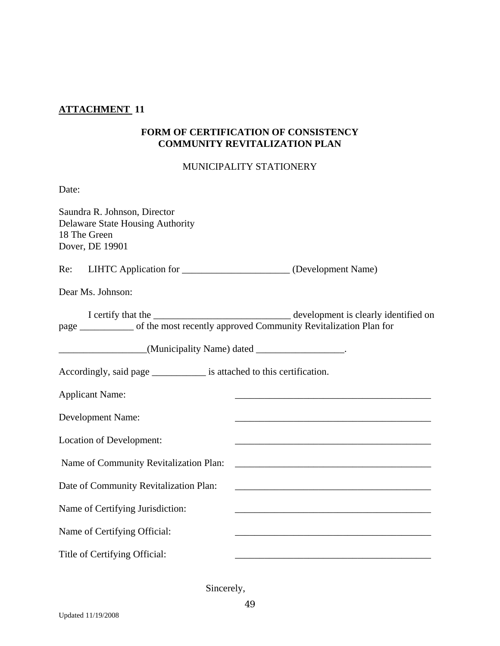# **ATTACHMENT 11**

## **FORM OF CERTIFICATION OF CONSISTENCY COMMUNITY REVITALIZATION PLAN**

## MUNICIPALITY STATIONERY

| Date:                                                                                                                                                   |                                                                                                                                                                                                                                      |
|---------------------------------------------------------------------------------------------------------------------------------------------------------|--------------------------------------------------------------------------------------------------------------------------------------------------------------------------------------------------------------------------------------|
| Saundra R. Johnson, Director<br><b>Delaware State Housing Authority</b><br>18 The Green<br>Dover, DE 19901                                              |                                                                                                                                                                                                                                      |
| Re: LIHTC Application for _______________________(Development Name)                                                                                     |                                                                                                                                                                                                                                      |
| Dear Ms. Johnson:                                                                                                                                       |                                                                                                                                                                                                                                      |
| page ___________ of the most recently approved Community Revitalization Plan for<br>____________________(Municipality Name) dated ____________________. | I certify that the <b>contract of the contract of the contract of the contract of the contract of the contract of the contract of the contract of the contract of the contract of the contract of the contract of the contract o</b> |
| Accordingly, said page _____________ is attached to this certification.                                                                                 |                                                                                                                                                                                                                                      |
| <b>Applicant Name:</b>                                                                                                                                  |                                                                                                                                                                                                                                      |
| Development Name:                                                                                                                                       |                                                                                                                                                                                                                                      |
| Location of Development:                                                                                                                                |                                                                                                                                                                                                                                      |
| Name of Community Revitalization Plan:                                                                                                                  | <u> 1989 - Johann John Harry Harry Harry Harry Harry Harry Harry Harry Harry Harry Harry Harry Harry Harry Harry</u>                                                                                                                 |
| Date of Community Revitalization Plan:                                                                                                                  |                                                                                                                                                                                                                                      |
| Name of Certifying Jurisdiction:                                                                                                                        |                                                                                                                                                                                                                                      |
| Name of Certifying Official:                                                                                                                            |                                                                                                                                                                                                                                      |
| Title of Certifying Official:                                                                                                                           |                                                                                                                                                                                                                                      |

Sincerely,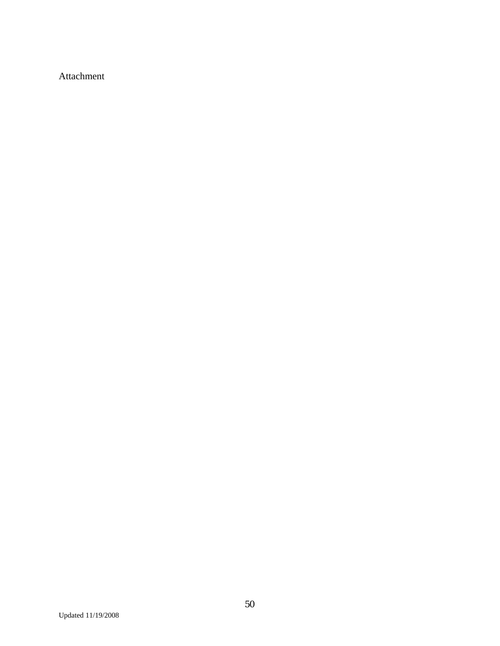Attachment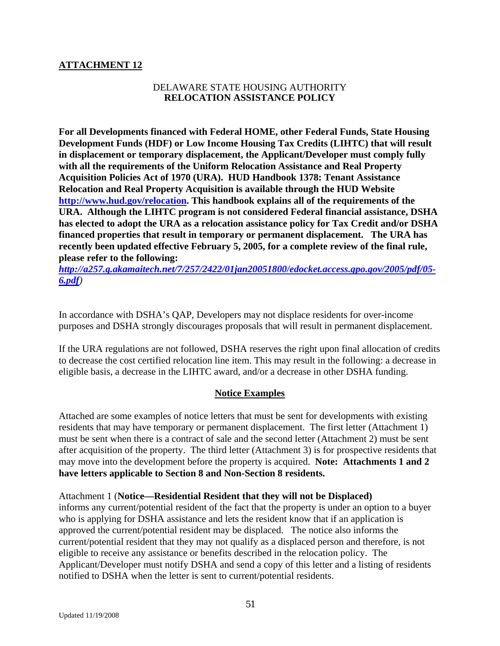## **ATTACHMENT 12**

## DELAWARE STATE HOUSING AUTHORITY **RELOCATION ASSISTANCE POLICY**

**For all Developments financed with Federal HOME, other Federal Funds, State Housing Development Funds (HDF) or Low Income Housing Tax Credits (LIHTC) that will result in displacement or temporary displacement, the Applicant/Developer must comply fully with all the requirements of the Uniform Relocation Assistance and Real Property Acquisition Policies Act of 1970 (URA). HUD Handbook 1378: Tenant Assistance Relocation and Real Property Acquisition is available through the HUD Website [http://www.hud.gov/relocation.](http://www.hud.gov/relocation) This handbook explains all of the requirements of the URA. Although the LIHTC program is not considered Federal financial assistance, DSHA has elected to adopt the URA as a relocation assistance policy for Tax Credit and/or DSHA financed properties that result in temporary or permanent displacement. The URA has recently been updated effective February 5, 2005, for a complete review of the final rule, please refer to the following:** 

*[http://a257.g.akamaitech.net/7/257/2422/01jan20051800/edocket.access.gpo.gov/2005/pdf/05-](http://a257.g.akamaitech.net/7/257/2422/01jan20051800/edocket.access.gpo.gov/2005/pdf/05-6.pdf) [6.pdf](http://a257.g.akamaitech.net/7/257/2422/01jan20051800/edocket.access.gpo.gov/2005/pdf/05-6.pdf))* 

In accordance with DSHA's QAP, Developers may not displace residents for over-income purposes and DSHA strongly discourages proposals that will result in permanent displacement.

If the URA regulations are not followed, DSHA reserves the right upon final allocation of credits to decrease the cost certified relocation line item. This may result in the following: a decrease in eligible basis, a decrease in the LIHTC award, and/or a decrease in other DSHA funding.

## **Notice Examples**

Attached are some examples of notice letters that must be sent for developments with existing residents that may have temporary or permanent displacement. The first letter (Attachment 1) must be sent when there is a contract of sale and the second letter (Attachment 2) must be sent after acquisition of the property. The third letter (Attachment 3) is for prospective residents that may move into the development before the property is acquired. **Note: Attachments 1 and 2 have letters applicable to Section 8 and Non-Section 8 residents.** 

#### Attachment 1 (**Notice—Residential Resident that they will not be Displaced)**

informs any current/potential resident of the fact that the property is under an option to a buyer who is applying for DSHA assistance and lets the resident know that if an application is approved the current/potential resident may be displaced. The notice also informs the current/potential resident that they may not qualify as a displaced person and therefore, is not eligible to receive any assistance or benefits described in the relocation policy. The Applicant/Developer must notify DSHA and send a copy of this letter and a listing of residents notified to DSHA when the letter is sent to current/potential residents.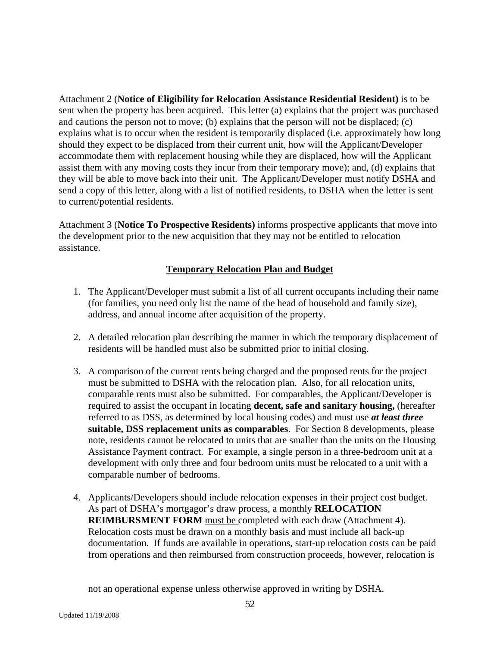Attachment 2 (**Notice of Eligibility for Relocation Assistance Residential Resident)** is to be sent when the property has been acquired. This letter (a) explains that the project was purchased and cautions the person not to move; (b) explains that the person will not be displaced; (c) explains what is to occur when the resident is temporarily displaced (i.e. approximately how long should they expect to be displaced from their current unit, how will the Applicant/Developer accommodate them with replacement housing while they are displaced, how will the Applicant assist them with any moving costs they incur from their temporary move); and, (d) explains that they will be able to move back into their unit. The Applicant/Developer must notify DSHA and send a copy of this letter, along with a list of notified residents, to DSHA when the letter is sent to current/potential residents.

Attachment 3 (**Notice To Prospective Residents)** informs prospective applicants that move into the development prior to the new acquisition that they may not be entitled to relocation assistance.

## **Temporary Relocation Plan and Budget**

- 1. The Applicant/Developer must submit a list of all current occupants including their name (for families, you need only list the name of the head of household and family size), address, and annual income after acquisition of the property.
- 2. A detailed relocation plan describing the manner in which the temporary displacement of residents will be handled must also be submitted prior to initial closing.
- 3. A comparison of the current rents being charged and the proposed rents for the project must be submitted to DSHA with the relocation plan. Also, for all relocation units, comparable rents must also be submitted. For comparables, the Applicant/Developer is required to assist the occupant in locating **decent, safe and sanitary housing,** (hereafter referred to as DSS, as determined by local housing codes) and must use *at least three*  **suitable, DSS replacement units as comparables**. For Section 8 developments, please note, residents cannot be relocated to units that are smaller than the units on the Housing Assistance Payment contract. For example, a single person in a three-bedroom unit at a development with only three and four bedroom units must be relocated to a unit with a comparable number of bedrooms.
- 4. Applicants/Developers should include relocation expenses in their project cost budget. As part of DSHA's mortgagor's draw process, a monthly **RELOCATION REIMBURSMENT FORM** must be completed with each draw (Attachment 4). Relocation costs must be drawn on a monthly basis and must include all back-up documentation. If funds are available in operations, start-up relocation costs can be paid from operations and then reimbursed from construction proceeds, however, relocation is

not an operational expense unless otherwise approved in writing by DSHA.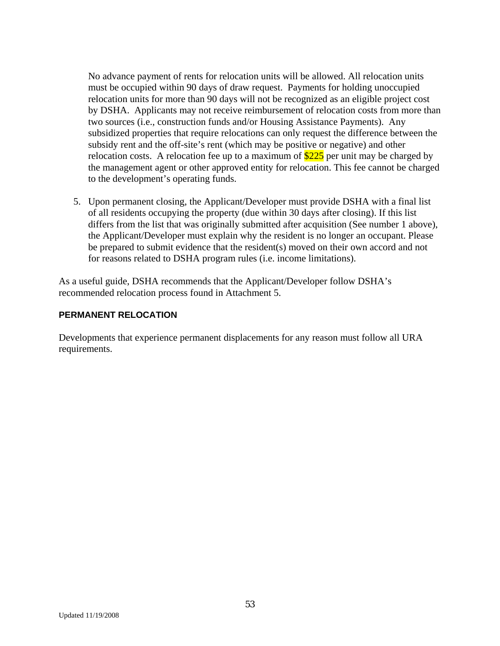No advance payment of rents for relocation units will be allowed. All relocation units must be occupied within 90 days of draw request. Payments for holding unoccupied relocation units for more than 90 days will not be recognized as an eligible project cost by DSHA. Applicants may not receive reimbursement of relocation costs from more than two sources (i.e., construction funds and/or Housing Assistance Payments). Any subsidized properties that require relocations can only request the difference between the subsidy rent and the off-site's rent (which may be positive or negative) and other relocation costs. A relocation fee up to a maximum of  $$225$  per unit may be charged by the management agent or other approved entity for relocation. This fee cannot be charged to the development's operating funds.

5. Upon permanent closing, the Applicant/Developer must provide DSHA with a final list of all residents occupying the property (due within 30 days after closing). If this list differs from the list that was originally submitted after acquisition (See number 1 above), the Applicant/Developer must explain why the resident is no longer an occupant. Please be prepared to submit evidence that the resident(s) moved on their own accord and not for reasons related to DSHA program rules (i.e. income limitations).

As a useful guide, DSHA recommends that the Applicant/Developer follow DSHA's recommended relocation process found in Attachment 5.

## **PERMANENT RELOCATION**

Developments that experience permanent displacements for any reason must follow all URA requirements.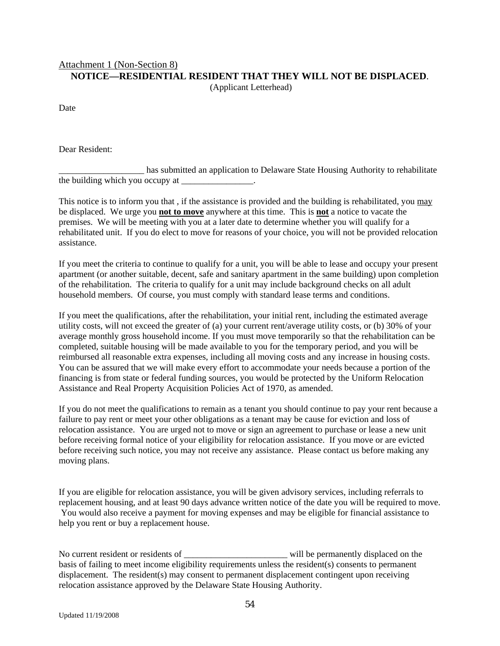# Attachment 1 (Non-Section 8) **NOTICE—RESIDENTIAL RESIDENT THAT THEY WILL NOT BE DISPLACED**.

(Applicant Letterhead)

Date

Dear Resident:

\_\_\_\_\_\_\_\_\_\_\_\_\_\_\_\_\_\_\_ has submitted an application to Delaware State Housing Authority to rehabilitate the building which you occupy at  $\frac{1}{\sqrt{2\pi}}$ .

This notice is to inform you that, if the assistance is provided and the building is rehabilitated, you may be displaced. We urge you **not to move** anywhere at this time. This is **not** a notice to vacate the premises. We will be meeting with you at a later date to determine whether you will qualify for a rehabilitated unit. If you do elect to move for reasons of your choice, you will not be provided relocation assistance.

If you meet the criteria to continue to qualify for a unit, you will be able to lease and occupy your present apartment (or another suitable, decent, safe and sanitary apartment in the same building) upon completion of the rehabilitation. The criteria to qualify for a unit may include background checks on all adult household members. Of course, you must comply with standard lease terms and conditions.

If you meet the qualifications, after the rehabilitation, your initial rent, including the estimated average utility costs, will not exceed the greater of (a) your current rent/average utility costs, or (b) 30% of your average monthly gross household income. If you must move temporarily so that the rehabilitation can be completed, suitable housing will be made available to you for the temporary period, and you will be reimbursed all reasonable extra expenses, including all moving costs and any increase in housing costs. You can be assured that we will make every effort to accommodate your needs because a portion of the financing is from state or federal funding sources, you would be protected by the Uniform Relocation Assistance and Real Property Acquisition Policies Act of 1970, as amended.

If you do not meet the qualifications to remain as a tenant you should continue to pay your rent because a failure to pay rent or meet your other obligations as a tenant may be cause for eviction and loss of relocation assistance. You are urged not to move or sign an agreement to purchase or lease a new unit before receiving formal notice of your eligibility for relocation assistance. If you move or are evicted before receiving such notice, you may not receive any assistance. Please contact us before making any moving plans.

If you are eligible for relocation assistance, you will be given advisory services, including referrals to replacement housing, and at least 90 days advance written notice of the date you will be required to move. You would also receive a payment for moving expenses and may be eligible for financial assistance to help you rent or buy a replacement house.

No current resident or residents of \_\_\_\_\_\_\_\_\_\_\_\_\_\_\_\_\_\_\_\_\_\_\_\_\_\_\_\_\_\_\_\_\_\_ will be permanently displaced on the basis of failing to meet income eligibility requirements unless the resident(s) consents to permanent displacement. The resident(s) may consent to permanent displacement contingent upon receiving relocation assistance approved by the Delaware State Housing Authority.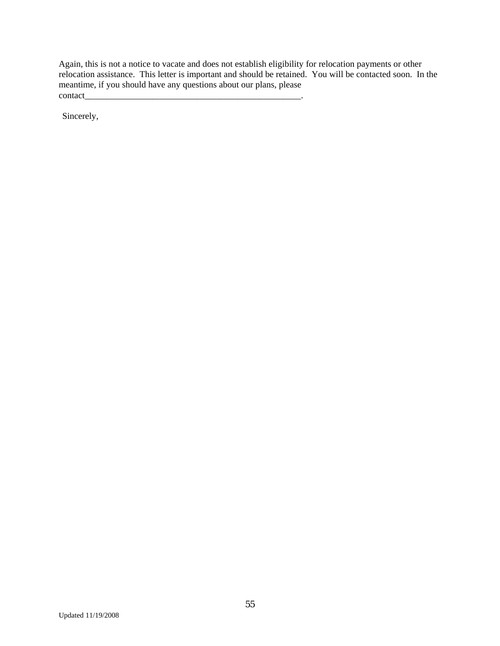Again, this is not a notice to vacate and does not establish eligibility for relocation payments or other relocation assistance. This letter is important and should be retained. You will be contacted soon. In the meantime, if you should have any questions about our plans, please contact\_

Sincerely,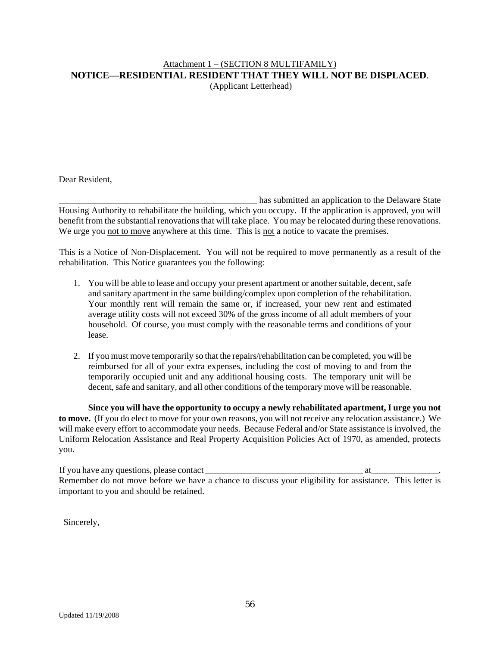#### Attachment 1 – (SECTION 8 MULTIFAMILY) **NOTICE—RESIDENTIAL RESIDENT THAT THEY WILL NOT BE DISPLACED**. (Applicant Letterhead)

Dear Resident,

has submitted an application to the Delaware State Housing Authority to rehabilitate the building, which you occupy. If the application is approved, you will benefit from the substantial renovations that will take place. You may be relocated during these renovations. We urge you not to move anywhere at this time. This is not a notice to vacate the premises.

This is a Notice of Non-Displacement. You will not be required to move permanently as a result of the rehabilitation. This Notice guarantees you the following:

- 1. You will be able to lease and occupy your present apartment or another suitable, decent, safe and sanitary apartment in the same building/complex upon completion of the rehabilitation. Your monthly rent will remain the same or, if increased, your new rent and estimated average utility costs will not exceed 30% of the gross income of all adult members of your household. Of course, you must comply with the reasonable terms and conditions of your lease.
- 2. If you must move temporarily so that the repairs/rehabilitation can be completed, you will be reimbursed for all of your extra expenses, including the cost of moving to and from the temporarily occupied unit and any additional housing costs. The temporary unit will be decent, safe and sanitary, and all other conditions of the temporary move will be reasonable.

**Since you will have the opportunity to occupy a newly rehabilitated apartment, I urge you not to move.** (If you do elect to move for your own reasons, you will not receive any relocation assistance.) We will make every effort to accommodate your needs. Because Federal and/or State assistance is involved, the Uniform Relocation Assistance and Real Property Acquisition Policies Act of 1970, as amended, protects you.

If you have any questions, please contact \_\_\_\_\_\_\_\_\_\_\_\_\_\_\_\_\_\_\_\_\_\_\_\_\_\_\_\_\_\_\_\_\_\_\_ at\_\_\_\_\_\_\_\_\_\_\_\_\_\_\_. Remember do not move before we have a chance to discuss your eligibility for assistance. This letter is important to you and should be retained.

Sincerely,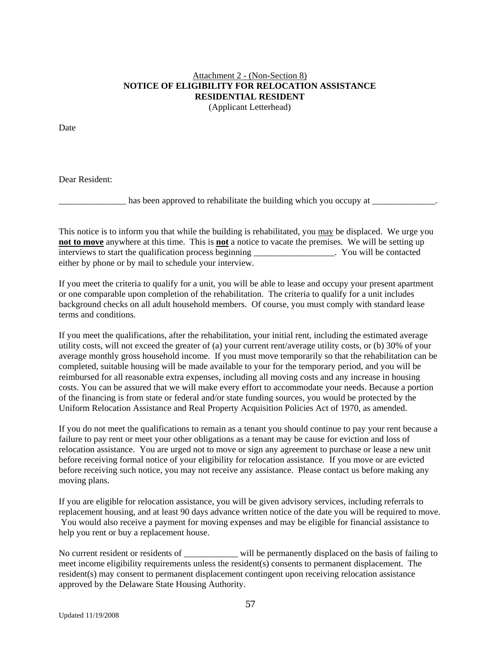# Attachment 2 - (Non-Section 8) **NOTICE OF ELIGIBILITY FOR RELOCATION ASSISTANCE RESIDENTIAL RESIDENT**

(Applicant Letterhead)

Date

Dear Resident:

has been approved to rehabilitate the building which you occupy at

This notice is to inform you that while the building is rehabilitated, you may be displaced. We urge you **not to move** anywhere at this time. This is **not** a notice to vacate the premises. We will be setting up interviews to start the qualification process beginning Theorem and May You will be contacted either by phone or by mail to schedule your interview.

If you meet the criteria to qualify for a unit, you will be able to lease and occupy your present apartment or one comparable upon completion of the rehabilitation. The criteria to qualify for a unit includes background checks on all adult household members. Of course, you must comply with standard lease terms and conditions.

If you meet the qualifications, after the rehabilitation, your initial rent, including the estimated average utility costs, will not exceed the greater of (a) your current rent/average utility costs, or (b) 30% of your average monthly gross household income. If you must move temporarily so that the rehabilitation can be completed, suitable housing will be made available to your for the temporary period, and you will be reimbursed for all reasonable extra expenses, including all moving costs and any increase in housing costs. You can be assured that we will make every effort to accommodate your needs. Because a portion of the financing is from state or federal and/or state funding sources, you would be protected by the Uniform Relocation Assistance and Real Property Acquisition Policies Act of 1970, as amended.

If you do not meet the qualifications to remain as a tenant you should continue to pay your rent because a failure to pay rent or meet your other obligations as a tenant may be cause for eviction and loss of relocation assistance. You are urged not to move or sign any agreement to purchase or lease a new unit before receiving formal notice of your eligibility for relocation assistance. If you move or are evicted before receiving such notice, you may not receive any assistance. Please contact us before making any moving plans.

If you are eligible for relocation assistance, you will be given advisory services, including referrals to replacement housing, and at least 90 days advance written notice of the date you will be required to move. You would also receive a payment for moving expenses and may be eligible for financial assistance to help you rent or buy a replacement house.

No current resident or residents of \_\_\_\_\_\_\_\_\_\_\_\_ will be permanently displaced on the basis of failing to meet income eligibility requirements unless the resident(s) consents to permanent displacement. The resident(s) may consent to permanent displacement contingent upon receiving relocation assistance approved by the Delaware State Housing Authority.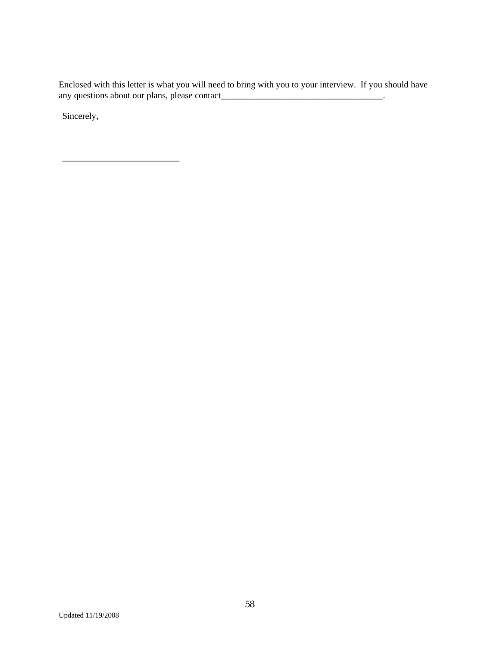Enclosed with this letter is what you will need to bring with you to your interview. If you should have any questions about our plans, please contact\_\_\_\_\_\_\_\_\_\_\_\_\_\_\_\_\_\_\_\_\_\_\_\_\_\_\_\_\_\_\_\_\_\_\_\_.

Sincerely,

\_\_\_\_\_\_\_\_\_\_\_\_\_\_\_\_\_\_\_\_\_\_\_\_\_\_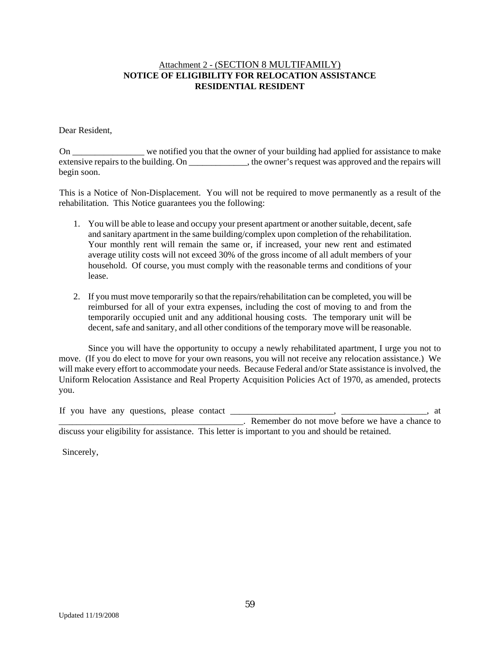#### Attachment 2 - (SECTION 8 MULTIFAMILY) **NOTICE OF ELIGIBILITY FOR RELOCATION ASSISTANCE RESIDENTIAL RESIDENT**

Dear Resident,

On \_\_\_\_\_\_\_\_\_\_\_\_\_\_\_\_ we notified you that the owner of your building had applied for assistance to make extensive repairs to the building. On \_\_\_\_\_\_\_\_\_\_\_\_\_, the owner's request was approved and the repairs will begin soon.

This is a Notice of Non-Displacement. You will not be required to move permanently as a result of the rehabilitation. This Notice guarantees you the following:

- 1. You will be able to lease and occupy your present apartment or another suitable, decent, safe and sanitary apartment in the same building/complex upon completion of the rehabilitation. Your monthly rent will remain the same or, if increased, your new rent and estimated average utility costs will not exceed 30% of the gross income of all adult members of your household. Of course, you must comply with the reasonable terms and conditions of your lease.
- 2. If you must move temporarily so that the repairs/rehabilitation can be completed, you will be reimbursed for all of your extra expenses, including the cost of moving to and from the temporarily occupied unit and any additional housing costs. The temporary unit will be decent, safe and sanitary, and all other conditions of the temporary move will be reasonable.

Since you will have the opportunity to occupy a newly rehabilitated apartment, I urge you not to move. (If you do elect to move for your own reasons, you will not receive any relocation assistance.) We will make every effort to accommodate your needs. Because Federal and/or State assistance is involved, the Uniform Relocation Assistance and Real Property Acquisition Policies Act of 1970, as amended, protects you.

If you have any questions, please contact \_\_\_\_\_\_\_\_\_\_\_\_\_\_\_\_\_\_\_\_\_\_\_, \_\_\_\_\_\_\_\_\_\_\_\_\_\_\_\_\_\_\_, at \_\_\_\_\_\_\_\_\_\_\_\_\_\_\_\_\_\_\_\_\_\_\_\_\_\_\_\_\_\_\_\_\_\_\_\_\_\_\_\_\_. Remember do not move before we have a chance to discuss your eligibility for assistance. This letter is important to you and should be retained.

Sincerely,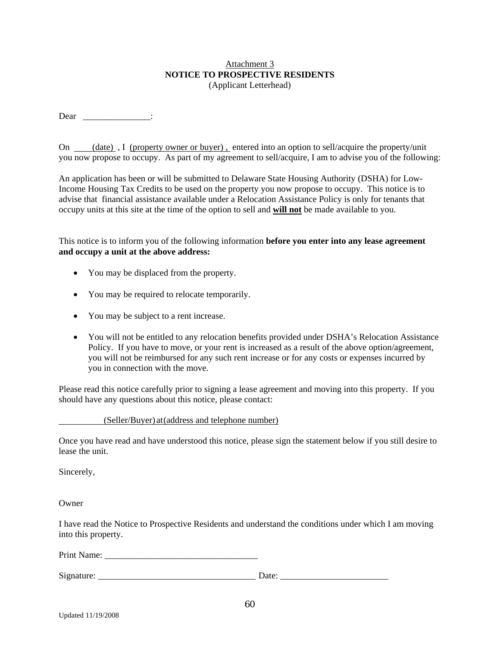#### Attachment 3 **NOTICE TO PROSPECTIVE RESIDENTS**  (Applicant Letterhead)

Dear \_\_\_\_\_\_\_\_\_\_\_\_\_\_\_:

On (date), I (property owner or buyer). entered into an option to sell/acquire the property/unit you now propose to occupy. As part of my agreement to sell/acquire, I am to advise you of the following:

An application has been or will be submitted to Delaware State Housing Authority (DSHA) for Low-Income Housing Tax Credits to be used on the property you now propose to occupy. This notice is to advise that financial assistance available under a Relocation Assistance Policy is only for tenants that occupy units at this site at the time of the option to sell and **will not** be made available to you.

This notice is to inform you of the following information **before you enter into any lease agreement and occupy a unit at the above address:**

- You may be displaced from the property.
- You may be required to relocate temporarily.
- You may be subject to a rent increase.
- You will not be entitled to any relocation benefits provided under DSHA's Relocation Assistance Policy. If you have to move, or your rent is increased as a result of the above option/agreement, you will not be reimbursed for any such rent increase or for any costs or expenses incurred by you in connection with the move.

Please read this notice carefully prior to signing a lease agreement and moving into this property. If you should have any questions about this notice, please contact:

(Seller/Buyer) at (address and telephone number)

Once you have read and have understood this notice, please sign the statement below if you still desire to lease the unit.

Sincerely,

**Owner** 

I have read the Notice to Prospective Residents and understand the conditions under which I am moving into this property.

Print Name:

Signature: \_\_\_\_\_\_\_\_\_\_\_\_\_\_\_\_\_\_\_\_\_\_\_\_\_\_\_\_\_\_\_\_\_\_\_ Date: \_\_\_\_\_\_\_\_\_\_\_\_\_\_\_\_\_\_\_\_\_\_\_\_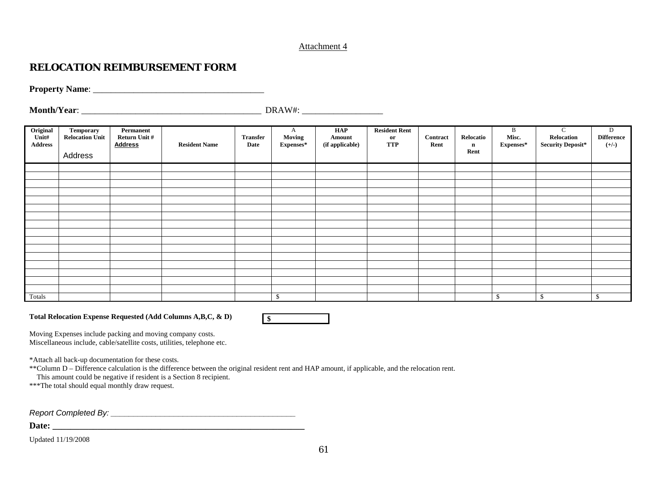#### Attachment 4

## **RELOCATION REIMBURSEMENT FORM**

**Property Name**: \_\_\_\_\_\_\_\_\_\_\_\_\_\_\_\_\_\_\_\_\_\_\_\_\_\_\_\_\_\_\_\_\_\_\_\_\_\_

**Month/Year**: \_\_\_\_\_\_\_\_\_\_\_\_\_\_\_\_\_\_\_\_\_\_\_\_\_\_\_\_\_\_\_\_\_\_\_\_\_\_\_\_ DRAW#: \_\_\_\_\_\_\_\_\_\_\_\_\_\_\_\_\_\_

| Original<br>Unit#<br><b>Address</b> | Temporary<br><b>Relocation Unit</b><br>Address | Permanent<br>Return Unit #<br><b>Address</b> | <b>Resident Name</b> | <b>Transfer</b><br>Date | A<br><b>Moving</b><br>Expenses* | HAP<br>Amount<br>(if applicable) | <b>Resident Rent</b><br>or<br><b>TTP</b> | <b>Contract</b><br>Rent | Relocatio<br>$\mathbf n$<br>Rent | B<br>Misc.<br>Expenses* | $\mathsf{C}$<br>Relocation<br><b>Security Deposit*</b> | D<br><b>Difference</b><br>$(+/-)$ |
|-------------------------------------|------------------------------------------------|----------------------------------------------|----------------------|-------------------------|---------------------------------|----------------------------------|------------------------------------------|-------------------------|----------------------------------|-------------------------|--------------------------------------------------------|-----------------------------------|
|                                     |                                                |                                              |                      |                         |                                 |                                  |                                          |                         |                                  |                         |                                                        |                                   |
|                                     |                                                |                                              |                      |                         |                                 |                                  |                                          |                         |                                  |                         |                                                        |                                   |
|                                     |                                                |                                              |                      |                         |                                 |                                  |                                          |                         |                                  |                         |                                                        |                                   |
|                                     |                                                |                                              |                      |                         |                                 |                                  |                                          |                         |                                  |                         |                                                        |                                   |
|                                     |                                                |                                              |                      |                         |                                 |                                  |                                          |                         |                                  |                         |                                                        |                                   |
|                                     |                                                |                                              |                      |                         |                                 |                                  |                                          |                         |                                  |                         |                                                        |                                   |
|                                     |                                                |                                              |                      |                         |                                 |                                  |                                          |                         |                                  |                         |                                                        |                                   |
|                                     |                                                |                                              |                      |                         |                                 |                                  |                                          |                         |                                  |                         |                                                        |                                   |
|                                     |                                                |                                              |                      |                         |                                 |                                  |                                          |                         |                                  |                         |                                                        |                                   |
|                                     |                                                |                                              |                      |                         |                                 |                                  |                                          |                         |                                  |                         |                                                        |                                   |
|                                     |                                                |                                              |                      |                         |                                 |                                  |                                          |                         |                                  |                         |                                                        |                                   |
|                                     |                                                |                                              |                      |                         |                                 |                                  |                                          |                         |                                  |                         |                                                        |                                   |
|                                     |                                                |                                              |                      |                         |                                 |                                  |                                          |                         |                                  |                         |                                                        |                                   |
|                                     |                                                |                                              |                      |                         |                                 |                                  |                                          |                         |                                  |                         |                                                        |                                   |
|                                     |                                                |                                              |                      |                         |                                 |                                  |                                          |                         |                                  |                         |                                                        |                                   |
|                                     |                                                |                                              |                      |                         |                                 |                                  |                                          |                         |                                  |                         |                                                        |                                   |
| Totals                              |                                                |                                              |                      |                         | $\mathbb{S}$                    |                                  |                                          |                         |                                  | $\mathcal{S}$           | \$                                                     | $\mathbf{\$}$                     |

**Total Relocation Expense Requested (Add Columns A,B,C, & D)** 



Moving Expenses include packing and moving company costs.

Miscellaneous include, cable/satellite costs, utilities, telephone etc.

\*Attach all back-up documentation for these costs.

\*\*Column D – Difference calculation is the difference between the original resident rent and HAP amount, if applicable, and the relocation rent.

This amount could be negative if resident is a Section 8 recipient.

\*\*\*The total should equal monthly draw request.

*Report Completed By: \_\_\_\_\_\_\_\_\_\_\_\_\_\_\_\_\_\_\_\_\_\_\_\_\_\_\_\_\_\_\_\_\_\_\_\_\_\_\_\_\_* 

**Date: \_\_\_\_\_\_\_\_\_\_\_\_\_\_\_\_\_\_\_\_\_\_\_\_\_\_\_\_\_\_\_\_\_\_\_\_\_\_\_\_\_\_\_\_\_\_\_\_\_\_\_\_\_\_\_\_**

Updated 11/19/2008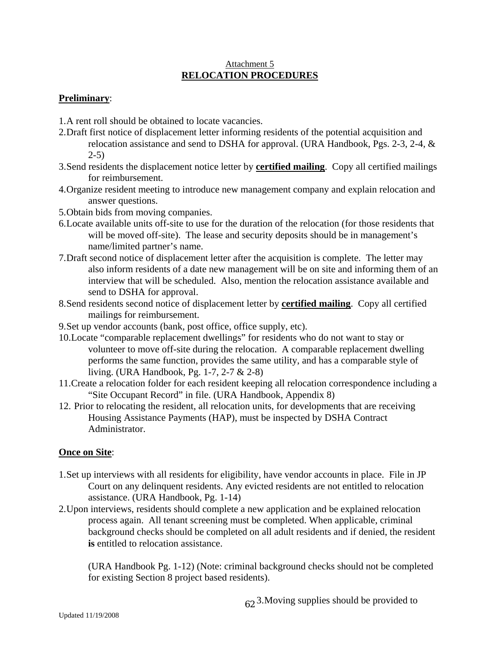### Attachment 5 **RELOCATION PROCEDURES**

## **Preliminary**:

- 1. A rent roll should be obtained to locate vacancies.
- 2. Draft first notice of displacement letter informing residents of the potential acquisition and relocation assistance and send to DSHA for approval. (URA Handbook, Pgs. 2-3, 2-4, &  $2-5$ )
- 3. Send residents the displacement notice letter by **certified mailing**. Copy all certified mailings for reimbursement.
- 4. Organize resident meeting to introduce new management company and explain relocation and answer questions.
- 5. Obtain bids from moving companies.
- 6. Locate available units off-site to use for the duration of the relocation (for those residents that will be moved off-site). The lease and security deposits should be in management's name/limited partner's name.
- 7. Draft second notice of displacement letter after the acquisition is complete. The letter may also inform residents of a date new management will be on site and informing them of an interview that will be scheduled. Also, mention the relocation assistance available and send to DSHA for approval.
- 8. Send residents second notice of displacement letter by **certified mailing**. Copy all certified mailings for reimbursement.
- 9. Set up vendor accounts (bank, post office, office supply, etc).
- 10. Locate "comparable replacement dwellings" for residents who do not want to stay or volunteer to move off-site during the relocation. A comparable replacement dwelling performs the same function, provides the same utility, and has a comparable style of living. (URA Handbook, Pg. 1-7, 2-7 & 2-8)
- 11. Create a relocation folder for each resident keeping all relocation correspondence including a "Site Occupant Record" in file. (URA Handbook, Appendix 8)
- 12. Prior to relocating the resident, all relocation units, for developments that are receiving Housing Assistance Payments (HAP), must be inspected by DSHA Contract Administrator.

## **Once on Site**:

- 1. Set up interviews with all residents for eligibility, have vendor accounts in place. File in JP Court on any delinquent residents. Any evicted residents are not entitled to relocation assistance. (URA Handbook, Pg. 1-14)
- 2. Upon interviews, residents should complete a new application and be explained relocation process again. All tenant screening must be completed. When applicable, criminal background checks should be completed on all adult residents and if denied, the resident **is** entitled to relocation assistance.

(URA Handbook Pg. 1-12) (Note: criminal background checks should not be completed for existing Section 8 project based residents).